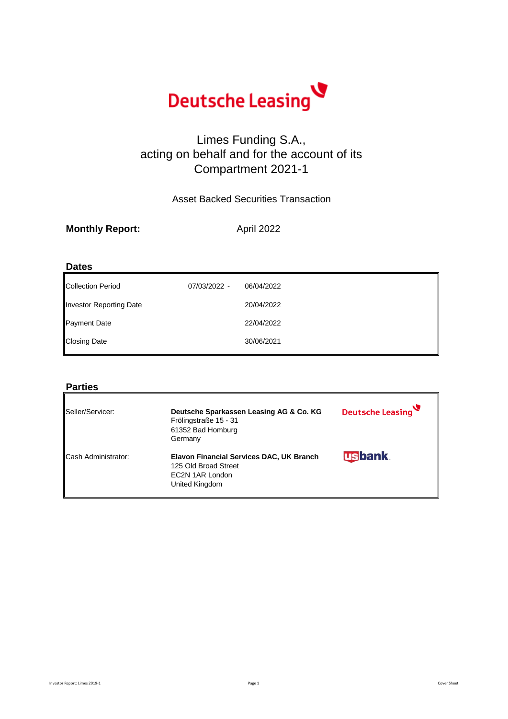

# Limes Funding S.A., acting on behalf and for the account of its Compartment 2021-1

### Asset Backed Securities Transaction

| <b>Monthly Report:</b> |
|------------------------|
|------------------------|

April 2022

## **Dates**

| 07/03/2022 - | 06/04/2022 |
|--------------|------------|
|              | 20/04/2022 |
|              | 22/04/2022 |
|              | 30/06/2021 |
|              |            |

### **Parties**

| Seller/Servicer:    | Deutsche Sparkassen Leasing AG & Co. KG<br>Frölingstraße 15 - 31<br>61352 Bad Homburg<br>Germany      | Deutsche Leasing |
|---------------------|-------------------------------------------------------------------------------------------------------|------------------|
| Cash Administrator: | Elavon Financial Services DAC, UK Branch<br>125 Old Broad Street<br>EC2N 1AR London<br>United Kingdom | <b>usbank</b>    |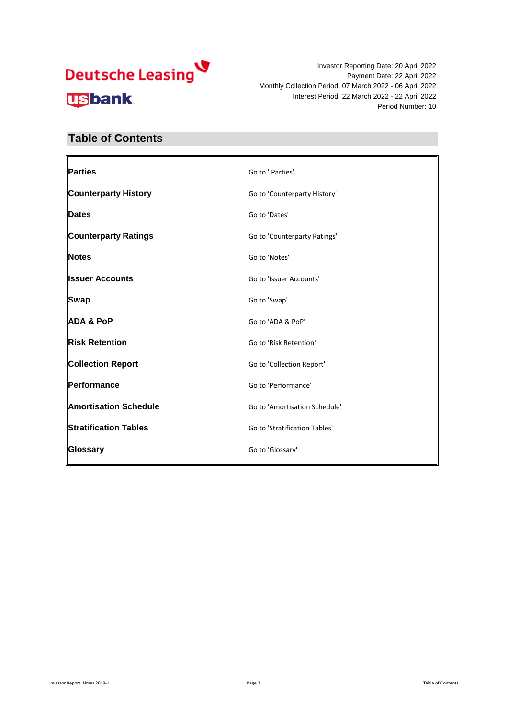Investor Reporting Date: 20 April 2022 Payment Date: 22 April 2022 Monthly Collection Period: 07 March 2022 - 06 April 2022 Interest Period: 22 March 2022 - 22 April 2022 Period Number: 10

## **Table of Contents**

| Parties                      | Go to ' Parties'              |
|------------------------------|-------------------------------|
| <b>Counterparty History</b>  | Go to 'Counterparty History'  |
| <b>Dates</b>                 | Go to 'Dates'                 |
| <b>Counterparty Ratings</b>  | Go to 'Counterparty Ratings'  |
| Notes                        | Go to 'Notes'                 |
| <b>Issuer Accounts</b>       | Go to 'Issuer Accounts'       |
| <b>Swap</b>                  | Go to 'Swap'                  |
| <b>ADA &amp; PoP</b>         | Go to 'ADA & PoP'             |
| <b>Risk Retention</b>        | Go to 'Risk Retention'        |
| <b>Collection Report</b>     | Go to 'Collection Report'     |
| Performance                  | Go to 'Performance'           |
| <b>Amortisation Schedule</b> | Go to 'Amortisation Schedule' |
| <b>Stratification Tables</b> | Go to 'Stratification Tables' |
| Glossary                     | Go to 'Glossary'              |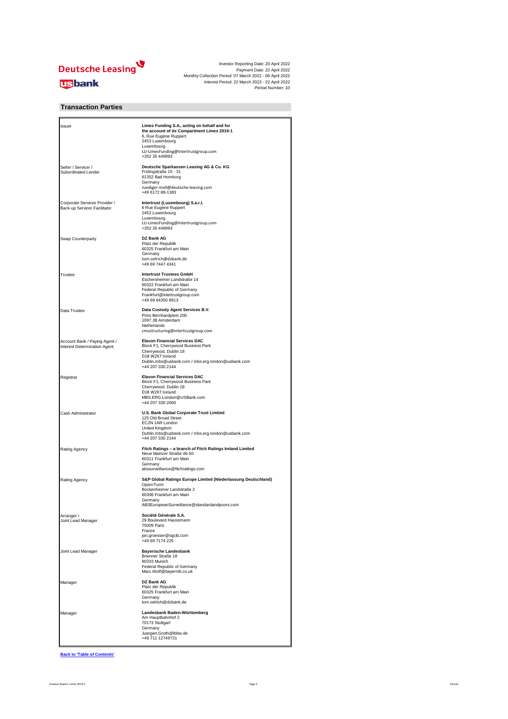

#### **Transaction Parties**

| Issuer                                                        | Limes Funding S.A., acting on behalf and for<br>the account of its Compartment Limes 2019-1<br>6, Rue Eugène Ruppert<br>2453 Luxembourg<br>Luxembourg<br>LU-LimesFunding@Intertrustgroup.com<br>+352 26 449993 |
|---------------------------------------------------------------|----------------------------------------------------------------------------------------------------------------------------------------------------------------------------------------------------------------|
| Seller / Servicer /<br>Subordinated Lender                    | Deutsche Sparkassen Leasing AG & Co. KG<br>Frölingstraße 15 - 31<br>61352 Bad Homburg<br>Germany<br>ruediger.moll@deutsche-leasing.com<br>+49 6172 88-1383                                                     |
| Corporate Services Provider /<br>Back-up Servicer Facilitator | Intertrust (Luxembourg) S.a.r.l.<br>6 Rue Eugène Ruppert<br>2453 Luxembourg<br>Luxembourg<br>LU-LimesFunding@Intertrustgroup.com<br>+352 26 449993                                                             |
| Swap Counterparty                                             | DZ Bank AG<br>Platz der Republik<br>60325 Frankfurt am Main<br>Germany<br>tom.oelrich@dzbank.de<br>+49 69 7447 4341                                                                                            |
| Trustee                                                       | <b>Intertrust Trustees GmbH</b><br>Eschersheimer Landstraße 14<br>60322 Frankfurt am Main<br>Federal Republic of Germany<br>Frankfurt@intertrustgroup.com<br>+49 69 64350 8913                                 |
| Data Trustee                                                  | Data Custody Agent Services B.V.<br>Prins Bernhardplein 200<br>1097 JB Amsterdam<br>Netherlands<br>cmsstructuring@intertrustgroup.com                                                                          |
| Account Bank / Paying Agent /<br>Interest Determination Agent | <b>Elavon Financial Services DAC</b><br>Block F1, Cherrywood Business Park<br>Cherrywood, Dublin 18<br>D18 W2X7 Ireland<br>Dublin.mbs@usbank.com / mbs.erg.london@usbank.com<br>+44 207 330 2144               |
| Registrar                                                     | <b>Elavon Financial Services DAC</b><br>Block F1, Cherrywood Business Park<br>Cherrywood, Dublin 18<br>D18 W2X7 Ireland<br>MBS.ERG.London@USBank.com<br>+44 207 330 2000                                       |
| Cash Administrator                                            | U.S. Bank Global Corporate Trust Limited<br>125 Old Broad Street<br>EC2N 1AR London<br>United Kingdom<br>Dublin.mbs@usbank.com / mbs.erg.london@usbank.com<br>+44 207 330 2144                                 |
| Rating Agency                                                 | Fitch Ratings - a branch of Fitch Ratings Ireland Limited<br>Neue Mainzer Straße 46-50<br>60311 Frankfurt am Main<br>Germany<br>abssurveillance@fitchratings.com                                               |
| Rating Agency                                                 | S&P Global Ratings Europe Limited (Niederlassung Deutschland)<br>OpernTurm<br>Bockenheimer Landstraße 2<br>60306 Frankfurt am Main<br>Germany<br>ABSEuropeanSurveillance@standardandpoors.com                  |
| Arranger /<br>Joint Lead Manager                              | Société Générale S.A.<br>29 Boulevard Haussmann<br>75009 Paris<br>France<br>jan.groesser@sgcib.com<br>+49 69 7174 225                                                                                          |
| Joint Lead Manager                                            | <b>Bayerische Landesbank</b><br>Brienner Straße 18<br>80333 Munich<br>Federal Republic of Germany<br>Marc.Wolf@bayernlb.co.uk                                                                                  |
| Manager                                                       | <b>DZ Bank AG</b><br>Platz der Republik<br>60325 Frankfurt am Main<br>Germany<br>tom.oelrich@dzbank.de                                                                                                         |
| Manager                                                       | Landesbank Baden-Württemberg<br>Am Hauptbahnhof 2<br>70173 Stuttgart<br>Germany<br>Juergen.Groth@lbbw.de<br>+49 711 12749721                                                                                   |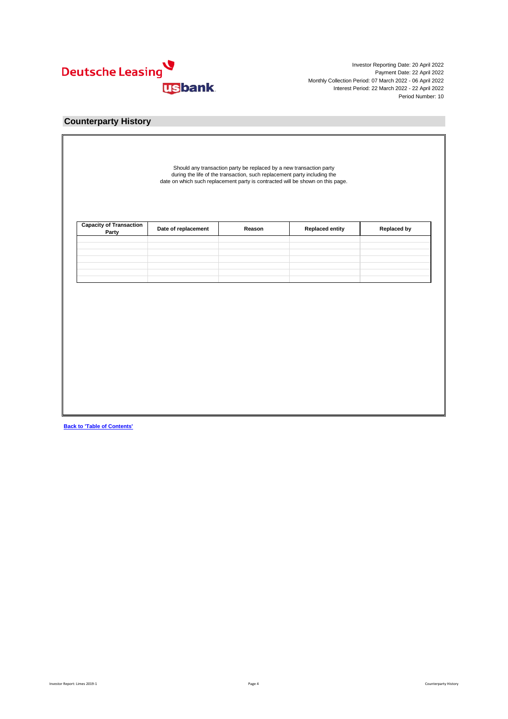

### **Counterparty History**

| Party | Date of replacement | Reason | <b>Replaced entity</b> | <b>Replaced by</b> |
|-------|---------------------|--------|------------------------|--------------------|
|       |                     |        |                        |                    |
|       |                     |        |                        |                    |
|       |                     |        |                        |                    |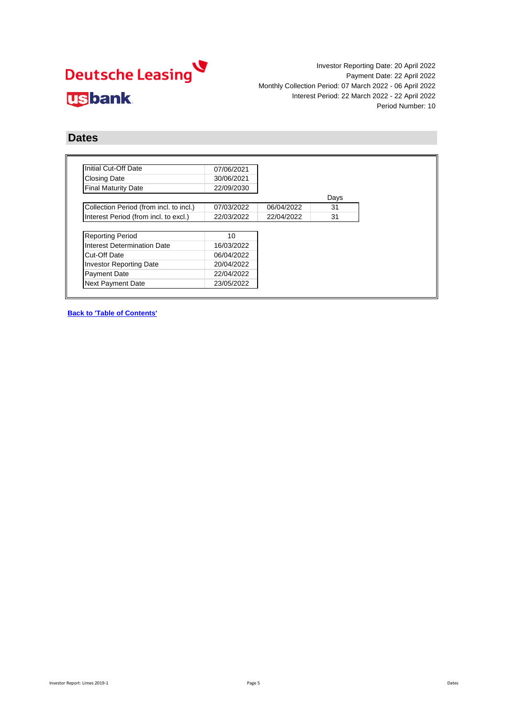Investor Reporting Date: 20 April 2022 Payment Date: 22 April 2022 Monthly Collection Period: 07 March 2022 - 06 April 2022 Interest Period: 22 March 2022 - 22 April 2022 Period Number: 10

## **Dates**

| Initial Cut-Off Date                    | 07/06/2021 |            |      |
|-----------------------------------------|------------|------------|------|
| <b>Closing Date</b>                     | 30/06/2021 |            |      |
| <b>Final Maturity Date</b>              | 22/09/2030 |            |      |
|                                         |            |            | Days |
| Collection Period (from incl. to incl.) | 07/03/2022 | 06/04/2022 | 31   |
| Interest Period (from incl. to excl.)   | 22/03/2022 | 22/04/2022 | 31   |
|                                         |            |            |      |
| <b>Reporting Period</b>                 | 10         |            |      |
| <b>Interest Determination Date</b>      | 16/03/2022 |            |      |
| Cut-Off Date                            | 06/04/2022 |            |      |
| <b>Investor Reporting Date</b>          | 20/04/2022 |            |      |
| Payment Date                            | 22/04/2022 |            |      |
|                                         |            |            |      |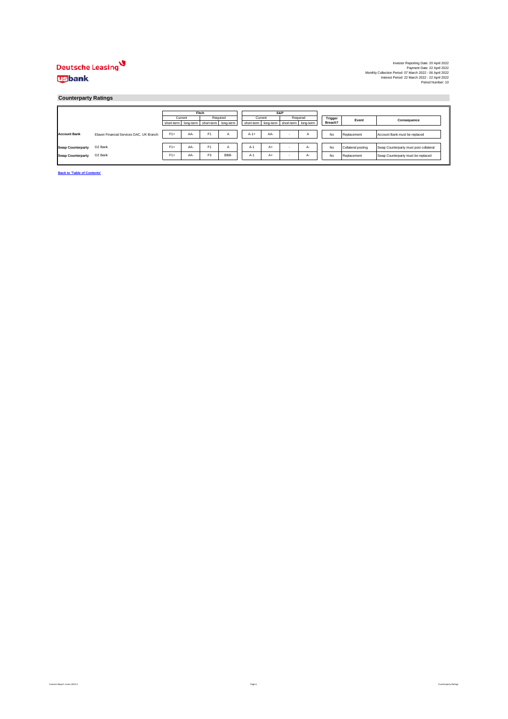#### **Counterparty Ratings**

|                          |                                          |            | Fitch     |                      |      |          |      | S&P |                                           |                   |         |                                    |                                        |       |             |
|--------------------------|------------------------------------------|------------|-----------|----------------------|------|----------|------|-----|-------------------------------------------|-------------------|---------|------------------------------------|----------------------------------------|-------|-------------|
|                          |                                          | Current    |           |                      |      | Required |      |     | Current<br>Required                       |                   |         |                                    | Trigger                                | Event | Consequence |
|                          |                                          | short-term | long-term | short-term long-term |      |          |      |     | short-term long-term short-term long-term |                   | Breach? |                                    |                                        |       |             |
|                          |                                          |            |           |                      |      |          |      |     |                                           |                   |         |                                    |                                        |       |             |
| <b>Account Bank</b>      | Elavon Financial Services DAC, UK Branch | $F1+$      | AA-       | F <sub>1</sub>       | А    | $A-1+$   | AA-  |     |                                           |                   | No      | Replacement                        | Account Bank must be replaced          |       |             |
|                          |                                          |            |           |                      |      |          |      |     |                                           |                   |         |                                    |                                        |       |             |
| <b>Swap Counterparty</b> | DZ Bank                                  | $F1+$      | AA-       | F <sub>1</sub>       | А    | $A-1$    | $A+$ |     | А-                                        |                   | No      | Collateral posting                 | Swap Counterparty must post collateral |       |             |
| <b>Swap Counterparty</b> | DZ Bank                                  | $F1+$      | AA-       | F <sub>3</sub>       | BBB- | $A-1$    | A+   |     | $A-$                                      | No<br>Replacement |         | Swap Counterparty must be replaced |                                        |       |             |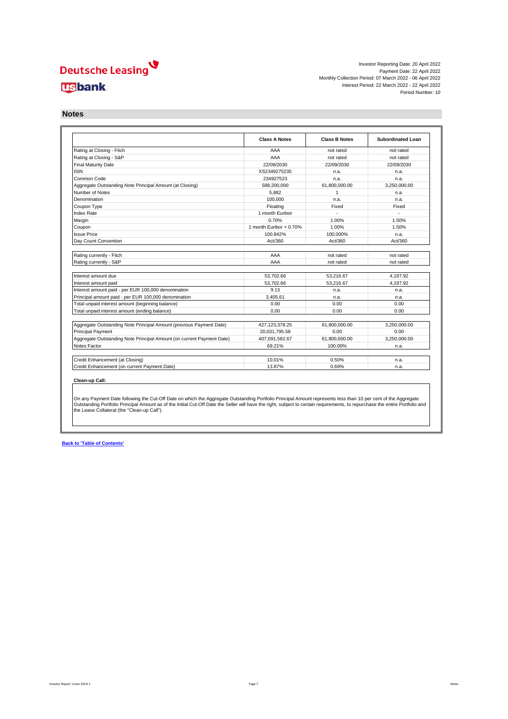Investor Reporting Date: 20 April 2022 Payment Date: 22 April 2022 Monthly Collection Period: 07 March 2022 - 06 April 2022 Interest Period: 22 March 2022 - 22 April 2022 Period Number: 10

**Notes**

|                                                                       | <b>Class A Notes</b>    | <b>Class B Notes</b> | <b>Subordinated Loan</b> |
|-----------------------------------------------------------------------|-------------------------|----------------------|--------------------------|
| Rating at Closing - Fitch                                             | AAA                     | not rated            | not rated                |
| Rating at Closing - S&P                                               | AAA                     | not rated            | not rated                |
| <b>Final Maturity Date</b>                                            | 22/09/2030              | 22/09/2030           | 22/09/2030               |
| <b>ISIN</b>                                                           | XS2349275235            | n.a.                 | n.a.                     |
| Common Code                                                           | 234927523               | n.a.                 | n.a.                     |
| Aggregate Outstanding Note Principal Amount (at Closing)              | 588.200.000             | 61.800.000.00        | 3.250.000.00             |
| Number of Notes                                                       | 5.882                   | $\mathbf{1}$         | n.a.                     |
| Denomination                                                          | 100.000                 | n.a.                 | n.a.                     |
| Coupon Type                                                           | Floating                | Fixed                | Fixed                    |
| Index Rate                                                            | 1 month Euribor         |                      |                          |
| Margin                                                                | 0.70%                   | 1.00%                | 1.50%                    |
| Coupon                                                                | 1 month Euribor + 0.70% | 1.00%                | 1.50%                    |
| <b>Issue Price</b>                                                    | 100.842%                | 100.000%             | n.a.                     |
| Day Count Convention                                                  | Act/360                 | Act/360              | Act/360                  |
|                                                                       |                         |                      |                          |
| Rating currently - Fitch                                              | AAA                     | not rated            | not rated                |
| Rating currently - S&P                                                | AAA                     | not rated            | not rated                |
| Interest amount due                                                   | 53.702.66               | 53.216.67            | 4.197.92                 |
| Interest amount paid                                                  | 53.702.66               | 53.216.67            | 4.197.92                 |
| Interest amount paid - per EUR 100,000 denomination                   | 9.13                    | n.a.                 | n.a.                     |
| Principal amount paid - per EUR 100,000 denomination                  | 3.405.61                | n.a.                 | n.a.                     |
| Total unpaid interest amount (beginning balance)                      | 0.00                    | 0.00                 | 0.00                     |
| Total unpaid interest amount (ending balance)                         | 0.00                    | 0.00                 | 0.00                     |
|                                                                       |                         |                      |                          |
| Aggregate Outstanding Note Principal Amount (previous Payment Date)   | 427,123,378.25          | 61,800,000.00        | 3,250,000.00             |
| <b>Principal Payment</b>                                              | 20,031,795.58           | 0.00                 | 0.00                     |
| Aggregate Outstanding Note Principal Amount (on current Payment Date) | 407,091,582.67          | 61,800,000.00        | 3,250,000.00             |
| Notes Factor                                                          | 69.21%                  | 100.00%              | n.a.                     |
|                                                                       |                         |                      |                          |
| Credit Enhancement (at Closing)                                       | 10.01%                  | 0.50%                | n.a.                     |
| Credit Enhancement (on current Payment Date)                          | 13.87%                  | 0.69%                | n.a.                     |

On any Payment Date following the Cut-Off Date on which the Aggregate Outstanding Portfolio Principal Amount represents less than 10 per cent of the Aggregate<br>Outstanding Portfolio Principal Amount as of the Initial Cut-O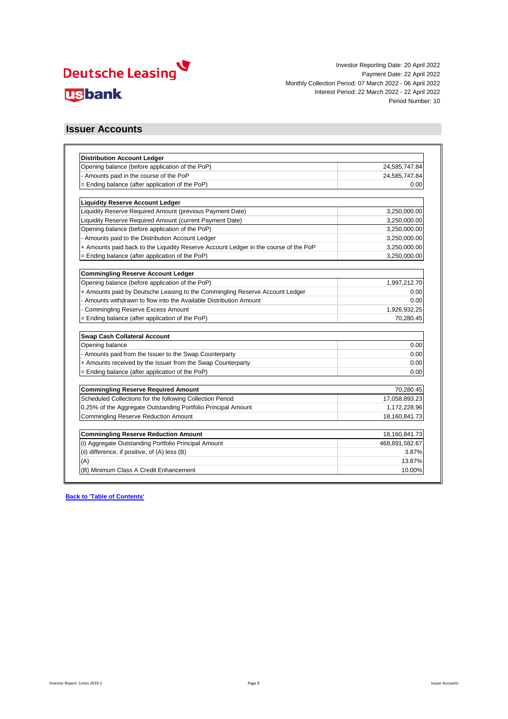

### **Issuer Accounts**

| <b>Distribution Account Ledger</b>                                                   |                |
|--------------------------------------------------------------------------------------|----------------|
| Opening balance (before application of the PoP)                                      | 24,585,747.84  |
| - Amounts paid in the course of the PoP                                              | 24,585,747.84  |
| = Ending balance (after application of the PoP)                                      | 0.00           |
| <b>Liquidity Reserve Account Ledger</b>                                              |                |
| Liquidity Reserve Required Amount (previous Payment Date)                            | 3,250,000.00   |
| Liquidity Reserve Required Amount (current Payment Date)                             | 3,250,000.00   |
| Opening balance (before application of the PoP)                                      | 3,250,000.00   |
| - Amounts paid to the Distribution Account Ledger                                    | 3,250,000.00   |
| + Amounts paid back to the Liquidity Reserve Account Ledger in the course of the PoP | 3,250,000.00   |
| = Ending balance (after application of the PoP)                                      | 3,250,000.00   |
| <b>Commingling Reserve Account Ledger</b>                                            |                |
| Opening balance (before application of the PoP)                                      | 1,997,212.70   |
| + Amounts paid by Deutsche Leasing to the Commingling Reserve Account Ledger         | 0.00           |
| - Amounts withdrawn to flow into the Available Distribution Amount                   | 0.00           |
| <b>Commingling Reserve Excess Amount</b>                                             | 1,926,932.25   |
| = Ending balance (after application of the PoP)                                      | 70,280.45      |
| Swap Cash Collateral Account                                                         |                |
| Opening balance                                                                      | 0.00           |
| - Amounts paid from the Issuer to the Swap Counterparty                              | 0.00           |
| + Amounts received by the Issuer from the Swap Counterparty                          | 0.00           |
| = Ending balance (after application of the PoP)                                      | 0.00           |
|                                                                                      |                |
| <b>Commingling Reserve Required Amount</b>                                           | 70,280.45      |
| Scheduled Collections for the following Collection Period                            | 17,058,893.23  |
| 0.25% of the Aggregate Outstanding Portfolio Principal Amount                        | 1,172,228.96   |
| <b>Commingling Reserve Reduction Amount</b>                                          | 18,160,841.73  |
| <b>Commingling Reserve Reduction Amount</b>                                          | 18,160,841.73  |
| (i) Aggregate Outstanding Portfolio Principal Amount                                 | 468,891,582.67 |
| (ii) difference, if positive, of (A) less (B)                                        | 3.87%          |
| (A)                                                                                  | 13.87%         |
| (B) Minimum Class A Credit Enhancement                                               | 10.00%         |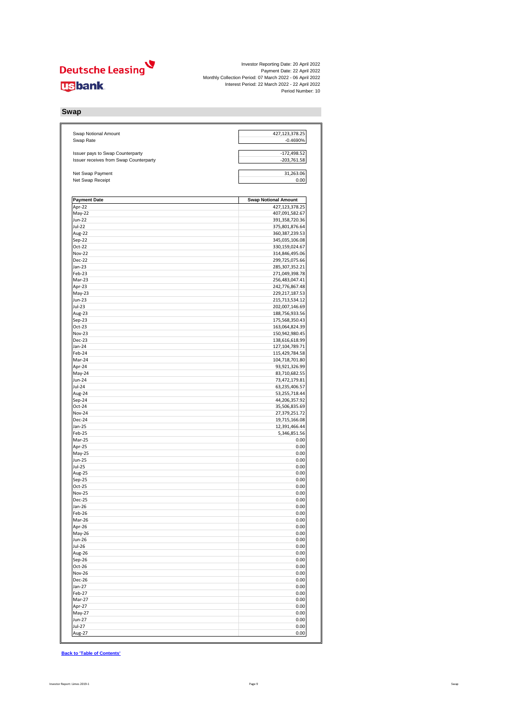Investor Reporting Date: 20 April 2022 Payment Date: 22 April 2022 Monthly Collection Period: 07 March 2022 - 06 April 2022 Interest Period: 22 March 2022 - 22 April 2022 Period Number: 10

**Swap**

| Swap Notional Amount<br>Swap Rate                                          | 427,123,378.25<br>$-0.4690%$         |
|----------------------------------------------------------------------------|--------------------------------------|
|                                                                            |                                      |
| Issuer pays to Swap Counterparty<br>Issuer receives from Swap Counterparty | $-172,498.52$<br>$-203,761.58$       |
| Net Swap Payment                                                           | 31,263.06                            |
| Net Swap Receipt                                                           | 0.00                                 |
| <b>Payment Date</b>                                                        | <b>Swap Notional Amount</b>          |
| Apr-22                                                                     | 427,123,378.25                       |
| May-22                                                                     | 407,091,582.67                       |
| Jun-22                                                                     | 391,358,720.36                       |
| Jul-22                                                                     | 375,801,876.64                       |
| Aug-22                                                                     | 360,387,239.53                       |
| Sep-22                                                                     | 345,035,106.08                       |
| Oct-22<br>Nov-22                                                           | 330,159,024.67<br>314,846,495.06     |
| <b>Dec-22</b>                                                              | 299,725,075.66                       |
| Jan-23                                                                     | 285,307,352.21                       |
| Feb-23                                                                     | 271,049,398.78                       |
| Mar-23                                                                     | 256,483,047.41                       |
| Apr-23                                                                     | 242,776,867.48                       |
| May-23                                                                     | 229,217,187.53                       |
| Jun-23                                                                     | 215,713,534.12                       |
| Jul-23                                                                     | 202,007,146.69                       |
| Aug-23                                                                     | 188,756,933.56                       |
| $Sep-23$                                                                   | 175,568,350.43                       |
| Oct-23<br>Nov-23                                                           | 163,064,824.39                       |
| Dec-23                                                                     | 150,942,980.45<br>138,616,618.99     |
| Jan-24                                                                     | 127,104,789.71                       |
| Feb-24                                                                     | 115,429,784.58                       |
| Mar-24                                                                     | 104,718,701.80                       |
| Apr-24                                                                     | 93,921,326.99                        |
| May-24                                                                     | 83,710,682.55                        |
| Jun-24                                                                     | 73,472,179.81                        |
| Jul-24                                                                     | 63,235,406.57                        |
| Aug-24                                                                     | 53,255,718.44                        |
| Sep-24                                                                     | 44,206,357.92                        |
| Oct-24<br>Nov-24                                                           | 35,506,835.69<br>27,379,251.72       |
| Dec-24                                                                     | 19,715,166.08                        |
| Jan-25                                                                     | 12,391,466.44                        |
| Feb-25                                                                     | 5,346,851.56                         |
| Mar-25                                                                     | 0.00                                 |
| Apr-25                                                                     | 0.00                                 |
| May-25                                                                     | 0.00                                 |
| Jun-25                                                                     | 0.00                                 |
| Jul-25                                                                     | 0.00                                 |
| Aug-25                                                                     | 0.00<br>0.00                         |
| Sep-25<br>Oct-25                                                           | 0.00                                 |
| Nov-25                                                                     | 0.00                                 |
| <b>Dec-25</b>                                                              | 0.00                                 |
| Jan-26                                                                     | 0.00                                 |
| Feb-26                                                                     | 0.00                                 |
| Mar-26                                                                     | 0.00                                 |
| Apr-26                                                                     | 0.00                                 |
| May-26                                                                     | 0.00                                 |
| Jun-26                                                                     | 0.00                                 |
| Jul-26<br>Aug-26                                                           | 0.00<br>0.00                         |
| Sep-26                                                                     | 0.00                                 |
| Oct-26                                                                     | 0.00                                 |
| <b>Nov-26</b>                                                              | 0.00                                 |
| Dec-26                                                                     | 0.00                                 |
| $Jan-27$                                                                   | 0.00                                 |
| Feb-27                                                                     | 0.00                                 |
| Mar-27                                                                     |                                      |
|                                                                            |                                      |
| Apr-27                                                                     |                                      |
| May-27                                                                     |                                      |
| Jun-27<br>Jul-27                                                           | 0.00<br>0.00<br>0.00<br>0.00<br>0.00 |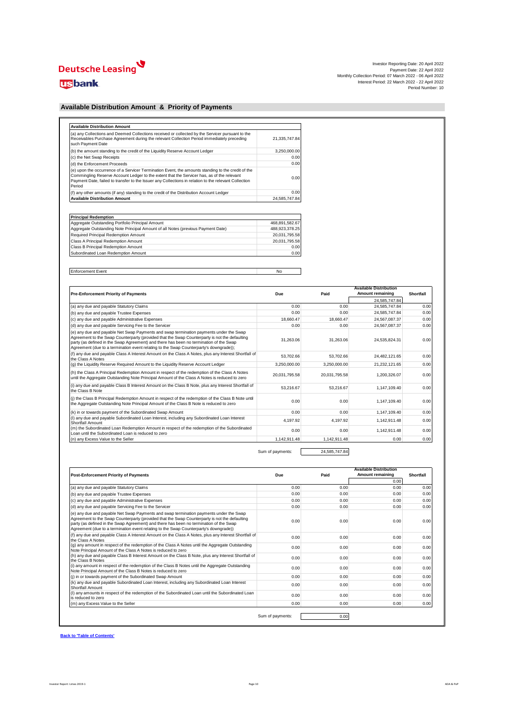# Deutsche Leasing

# **usbank**

|                                                          | Investor Reporting Date: 20 April 2022         |                             |                   |  |
|----------------------------------------------------------|------------------------------------------------|-----------------------------|-------------------|--|
|                                                          |                                                | Payment Date: 22 April 2022 |                   |  |
| Monthly Collection Period: 07 March 2022 - 06 April 2022 |                                                |                             |                   |  |
|                                                          | Interest Period: 22 March 2022 - 22 April 2022 |                             |                   |  |
|                                                          |                                                |                             | Period Number: 10 |  |

#### **Available Distribution Amount & Priority of Payments**

| (a) any Collections and Deemed Collections received or collected by the Servicer pursuant to the<br>Receivables Purchase Agreement during the relevant Collection Period immediately preceding<br>such Payment Date                                                                                                 | 21.335.747.84 |
|---------------------------------------------------------------------------------------------------------------------------------------------------------------------------------------------------------------------------------------------------------------------------------------------------------------------|---------------|
| (b) the amount standing to the credit of the Liquidity Reserve Account Ledger                                                                                                                                                                                                                                       | 3.250.000.00  |
| (c) the Net Swap Receipts                                                                                                                                                                                                                                                                                           | 0.00          |
| (d) the Enforcement Proceeds                                                                                                                                                                                                                                                                                        | 0.00          |
| (e) upon the occurrence of a Servicer Termination Event, the amounts standing to the credit of the<br>Commingling Reserve Account Ledger to the extent that the Servicer has, as of the relevant<br>Payment Date, failed to transfer to the Issuer any Collections in relation to the relevant Collection<br>Period | 0.00          |
| (f) any other amounts (if any) standing to the credit of the Distribution Account Ledger                                                                                                                                                                                                                            | 0.00          |
| <b>Available Distribution Amount</b>                                                                                                                                                                                                                                                                                | 24,585,747.84 |

| <b>Principal Redemption</b>                                                      |                |  |  |  |  |  |  |
|----------------------------------------------------------------------------------|----------------|--|--|--|--|--|--|
| Aggregate Outstanding Portfolio Principal Amount                                 | 468.891.582.67 |  |  |  |  |  |  |
| Aggregate Outstanding Note Principal Amount of all Notes (previous Payment Date) | 488.923.378.25 |  |  |  |  |  |  |
| Required Principal Redemption Amount                                             | 20.031.795.58  |  |  |  |  |  |  |
| Class A Principal Redemption Amount                                              | 20.031.795.58  |  |  |  |  |  |  |
| Class B Principal Redemption Amount                                              | 0.00           |  |  |  |  |  |  |
| Subordinated Loan Redemption Amount                                              | 0.00           |  |  |  |  |  |  |

Enforcement Event No

| <b>Pre-Enforcement Priority of Payments</b>                                                                                                                                                                                                                                                                                                                                 | Due           | Paid          | <b>Available Distribution</b><br>Amount remaining | Shortfall |
|-----------------------------------------------------------------------------------------------------------------------------------------------------------------------------------------------------------------------------------------------------------------------------------------------------------------------------------------------------------------------------|---------------|---------------|---------------------------------------------------|-----------|
|                                                                                                                                                                                                                                                                                                                                                                             |               |               | 24.585.747.84                                     |           |
| (a) any due and payable Statutory Claims                                                                                                                                                                                                                                                                                                                                    | 0.00          | 0.00          | 24.585.747.84                                     | 0.00      |
| (b) any due and payable Trustee Expenses                                                                                                                                                                                                                                                                                                                                    | 0.00          | 0.00          | 24.585.747.84                                     | 0.00      |
| (c) any due and payable Administrative Expenses                                                                                                                                                                                                                                                                                                                             | 18.660.47     | 18.660.47     | 24.567.087.37                                     | 0.00      |
| (d) any due and payable Servicing Fee to the Servicer                                                                                                                                                                                                                                                                                                                       | 0.00          | 0.00          | 24.567.087.37                                     | 0.00      |
| (e) any due and payable Net Swap Payments and swap termination payments under the Swap<br>Agreement to the Swap Counterparty (provided that the Swap Counterparty is not the defaulting<br>party (as defined in the Swap Agreement) and there has been no termination of the Swap<br>Agreement (due to a termination event relating to the Swap Counterparty's downgrade)); | 31.263.06     | 31.263.06     | 24,535,824.31                                     | 0.00      |
| (f) any due and payable Class A Interest Amount on the Class A Notes, plus any Interest Shortfall of<br>the Class A Notes                                                                                                                                                                                                                                                   | 53.702.66     | 53.702.66     | 24.482.121.65                                     | 0.00      |
| (q) the Liquidity Reserve Required Amount to the Liquidity Reserve Account Ledger                                                                                                                                                                                                                                                                                           | 3,250,000.00  | 3,250,000.00  | 21,232,121.65                                     | 0.00      |
| (h) the Class A Principal Redemption Amount in respect of the redemption of the Class A Notes<br>until the Aggregate Outstanding Note Principal Amount of the Class A Notes is reduced to zero                                                                                                                                                                              | 20.031.795.58 | 20.031.795.58 | 1.200.326.07                                      | 0.00      |
| (i) any due and payable Class B Interest Amount on the Class B Note, plus any Interest Shortfall of<br>the Class B Note                                                                                                                                                                                                                                                     | 53.216.67     | 53.216.67     | 1.147.109.40                                      | 0.00      |
| (i) the Class B Principal Redemption Amount in respect of the redemption of the Class B Note until<br>the Aggregate Outstanding Note Principal Amount of the Class B Note is reduced to zero                                                                                                                                                                                | 0.00          | 0.00          | 1.147.109.40                                      | 0.00      |
| (k) in or towards payment of the Subordinated Swap Amount                                                                                                                                                                                                                                                                                                                   | 0.00          | 0.00          | 1.147.109.40                                      | 0.00      |
| (I) any due and payable Subordinated Loan Interest, including any Subordinated Loan Interest<br>Shortfall Amount                                                                                                                                                                                                                                                            | 4.197.92      | 4.197.92      | 1,142,911.48                                      | 0.00      |
| (m) the Subordinated Loan Redemption Amount in respect of the redemption of the Subordinated<br>Loan until the Subordinated Loan is reduced to zero.                                                                                                                                                                                                                        | 0.00          | 0.00          | 1,142,911.48                                      | 0.00      |
| (n) any Excess Value to the Seller                                                                                                                                                                                                                                                                                                                                          | 1.142.911.48  | 1.142.911.48  | 0.00                                              | 0.00      |

Sum of payments: 24,585,747.84

|                                                                                                                                                                                                                                                                                                                                                                            |                  |      | <b>Available Distribution</b> |           |
|----------------------------------------------------------------------------------------------------------------------------------------------------------------------------------------------------------------------------------------------------------------------------------------------------------------------------------------------------------------------------|------------------|------|-------------------------------|-----------|
| <b>Post-Enforcement Priority of Payments</b>                                                                                                                                                                                                                                                                                                                               | Due              | Paid | Amount remaining              | Shortfall |
|                                                                                                                                                                                                                                                                                                                                                                            |                  |      | 0.00                          |           |
| (a) any due and payable Statutory Claims                                                                                                                                                                                                                                                                                                                                   | 0.00             | 0.00 | 0.00                          | 0.00      |
| (b) any due and payable Trustee Expenses                                                                                                                                                                                                                                                                                                                                   | 0.00             | 0.00 | 0.00                          | 0.00      |
| (c) any due and payable Administrative Expenses                                                                                                                                                                                                                                                                                                                            | 0.00             | 0.00 | 0.00                          | 0.00      |
| (d) any due and payable Servicing Fee to the Servicer                                                                                                                                                                                                                                                                                                                      | 0.00             | 0.00 | 0.00                          | 0.00      |
| (e) any due and payable Net Swap Payments and swap termination payments under the Swap<br>Agreement to the Swap Counterparty (provided that the Swap Counterparty is not the defaulting<br>party (as defined in the Swap Agreement) and there has been no termination of the Swap<br>Agreement (due to a termination event relating to the Swap Counterparty's downgrade)) | 0.00             | 0.00 | 0.00                          | 0.00      |
| (f) any due and payable Class A Interest Amount on the Class A Notes, plus any Interest Shortfall of<br>the Class A Notes                                                                                                                                                                                                                                                  | 0.00             | 0.00 | 0.00                          | 0.00      |
| (g) any amount in respect of the redemption of the Class A Notes until the Aggregate Outstanding<br>Note Principal Amount of the Class A Notes is reduced to zero                                                                                                                                                                                                          | 0.00             | 0.00 | 0.00                          | 0.00      |
| (h) any due and payable Class B Interest Amount on the Class B Note, plus any Interest Shortfall of<br>the Class B Notes                                                                                                                                                                                                                                                   | 0.00             | 0.00 | 0.00                          | 0.00      |
| (i) any amount in respect of the redemption of the Class B Notes until the Aggregate Outstanding<br>Note Principal Amount of the Class B Notes is reduced to zero                                                                                                                                                                                                          | 0.00             | 0.00 | 0.00                          | 0.00      |
| (i) in or towards payment of the Subordinated Swap Amount                                                                                                                                                                                                                                                                                                                  | 0.00             | 0.00 | 0.00                          | 0.00      |
| (k) any due and payable Subordinated Loan Interest, including any Subordinated Loan Interest<br>Shortfall Amount                                                                                                                                                                                                                                                           | 0.00             | 0.00 | 0.00                          | 0.00      |
| (I) any amounts in respect of the redemption of the Subordinated Loan until the Subordinated Loan<br>is reduced to zero                                                                                                                                                                                                                                                    | 0.00             | 0.00 | 0.00                          | 0.00      |
| (m) any Excess Value to the Seller                                                                                                                                                                                                                                                                                                                                         | 0.00             | 0.00 | 0.00                          | 0.00      |
|                                                                                                                                                                                                                                                                                                                                                                            | Sum of payments: | 0.00 |                               |           |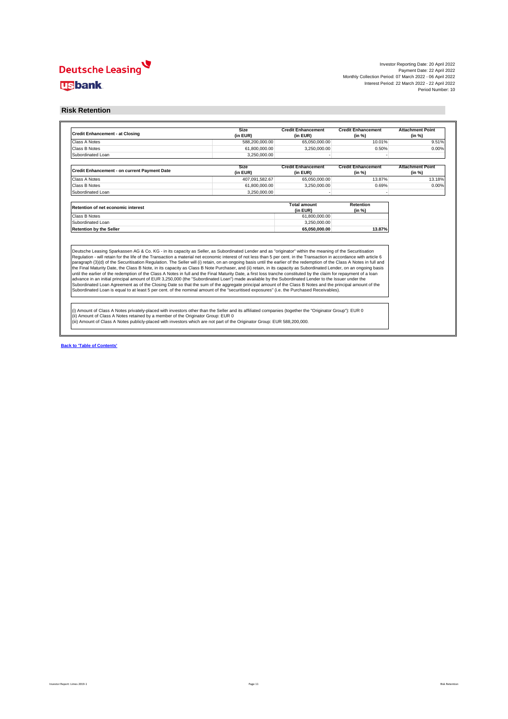#### **Risk Retention**

| 65,050,000.00<br>3,250,000.00<br><b>Credit Enhancement</b><br>(in EUR)<br>65,050,000.00<br>3.250.000.00<br><b>Total amount</b><br>(in EUR)<br>61,800,000.00<br>3.250.000.00<br>65.050.000.00                                                                                                                                                                                                                                                                                                                                                                                                                                                                                                                                                                                                                                                                                                                                                                                                                                                                                                                                                                                                                                                                                                                                | 10.01%<br>0.50%<br><b>Credit Enhancement</b><br>(in %)<br>13.87%<br>0.69%<br>Retention<br>(in %)<br>13.87%                | 9.51%<br>0.00%<br><b>Attachment Point</b><br>(in %)<br>13.18%<br>0.00%                                                                                  |  |  |  |  |  |  |  |  |
|-----------------------------------------------------------------------------------------------------------------------------------------------------------------------------------------------------------------------------------------------------------------------------------------------------------------------------------------------------------------------------------------------------------------------------------------------------------------------------------------------------------------------------------------------------------------------------------------------------------------------------------------------------------------------------------------------------------------------------------------------------------------------------------------------------------------------------------------------------------------------------------------------------------------------------------------------------------------------------------------------------------------------------------------------------------------------------------------------------------------------------------------------------------------------------------------------------------------------------------------------------------------------------------------------------------------------------|---------------------------------------------------------------------------------------------------------------------------|---------------------------------------------------------------------------------------------------------------------------------------------------------|--|--|--|--|--|--|--|--|
|                                                                                                                                                                                                                                                                                                                                                                                                                                                                                                                                                                                                                                                                                                                                                                                                                                                                                                                                                                                                                                                                                                                                                                                                                                                                                                                             |                                                                                                                           |                                                                                                                                                         |  |  |  |  |  |  |  |  |
|                                                                                                                                                                                                                                                                                                                                                                                                                                                                                                                                                                                                                                                                                                                                                                                                                                                                                                                                                                                                                                                                                                                                                                                                                                                                                                                             |                                                                                                                           |                                                                                                                                                         |  |  |  |  |  |  |  |  |
|                                                                                                                                                                                                                                                                                                                                                                                                                                                                                                                                                                                                                                                                                                                                                                                                                                                                                                                                                                                                                                                                                                                                                                                                                                                                                                                             |                                                                                                                           |                                                                                                                                                         |  |  |  |  |  |  |  |  |
|                                                                                                                                                                                                                                                                                                                                                                                                                                                                                                                                                                                                                                                                                                                                                                                                                                                                                                                                                                                                                                                                                                                                                                                                                                                                                                                             |                                                                                                                           |                                                                                                                                                         |  |  |  |  |  |  |  |  |
|                                                                                                                                                                                                                                                                                                                                                                                                                                                                                                                                                                                                                                                                                                                                                                                                                                                                                                                                                                                                                                                                                                                                                                                                                                                                                                                             |                                                                                                                           |                                                                                                                                                         |  |  |  |  |  |  |  |  |
|                                                                                                                                                                                                                                                                                                                                                                                                                                                                                                                                                                                                                                                                                                                                                                                                                                                                                                                                                                                                                                                                                                                                                                                                                                                                                                                             |                                                                                                                           |                                                                                                                                                         |  |  |  |  |  |  |  |  |
|                                                                                                                                                                                                                                                                                                                                                                                                                                                                                                                                                                                                                                                                                                                                                                                                                                                                                                                                                                                                                                                                                                                                                                                                                                                                                                                             |                                                                                                                           |                                                                                                                                                         |  |  |  |  |  |  |  |  |
|                                                                                                                                                                                                                                                                                                                                                                                                                                                                                                                                                                                                                                                                                                                                                                                                                                                                                                                                                                                                                                                                                                                                                                                                                                                                                                                             |                                                                                                                           |                                                                                                                                                         |  |  |  |  |  |  |  |  |
|                                                                                                                                                                                                                                                                                                                                                                                                                                                                                                                                                                                                                                                                                                                                                                                                                                                                                                                                                                                                                                                                                                                                                                                                                                                                                                                             |                                                                                                                           |                                                                                                                                                         |  |  |  |  |  |  |  |  |
|                                                                                                                                                                                                                                                                                                                                                                                                                                                                                                                                                                                                                                                                                                                                                                                                                                                                                                                                                                                                                                                                                                                                                                                                                                                                                                                             |                                                                                                                           |                                                                                                                                                         |  |  |  |  |  |  |  |  |
|                                                                                                                                                                                                                                                                                                                                                                                                                                                                                                                                                                                                                                                                                                                                                                                                                                                                                                                                                                                                                                                                                                                                                                                                                                                                                                                             |                                                                                                                           |                                                                                                                                                         |  |  |  |  |  |  |  |  |
| Deutsche Leasing Sparkassen AG & Co. KG - in its capacity as Seller, as Subordinated Lender and as "originator" within the meaning of the Securitisation<br>Regulation - will retain for the life of the Transaction a material net economic interest of not less than 5 per cent. in the Transaction in accordance with article 6<br>paragraph (3)(d) of the Securitisation Regulation. The Seller will (i) retain, on an ongoing basis until the earlier of the redemption of the Class A Notes in full and<br>the Final Maturity Date, the Class B Note, in its capacity as Class B Note Purchaser, and (ii) retain, in its capacity as Subordinated Lender, on an ongoing basis<br>until the earlier of the redemption of the Class A Notes in full and the Final Maturity Date, a first loss tranche constituted by the claim for repayment of a loan<br>advance in an initial principal amount of EUR 3,250,000 (the "Subordinated Loan") made available by the Subordinated Lender to the Issuer under the<br>Subordinated Loan Agreement as of the Closing Date so that the sum of the aggregate principal amount of the Class B Notes and the principal amount of the<br>Subordinated Loan is equal to at least 5 per cent. of the nominal amount of the "securitised exposures" (i.e. the Purchased Receivables). |                                                                                                                           |                                                                                                                                                         |  |  |  |  |  |  |  |  |
|                                                                                                                                                                                                                                                                                                                                                                                                                                                                                                                                                                                                                                                                                                                                                                                                                                                                                                                                                                                                                                                                                                                                                                                                                                                                                                                             | (iii) Amount of Class A Notes publicly-placed with investors which are not part of the Originator Group: EUR 588,200,000. | (i) Amount of Class A Notes privately-placed with investors other than the Seller and its affiliated companies (together the "Originator Group"): EUR 0 |  |  |  |  |  |  |  |  |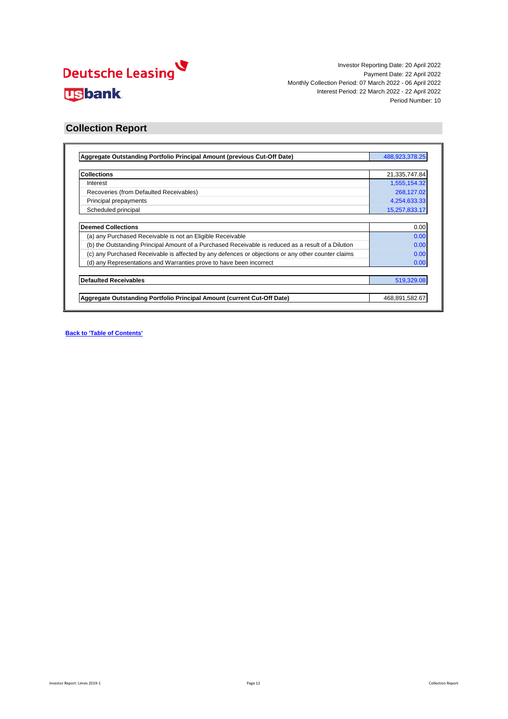

### **Collection Report**

| Aggregate Outstanding Portfolio Principal Amount (previous Cut-Off Date)                            | 488,923,378.25 |
|-----------------------------------------------------------------------------------------------------|----------------|
|                                                                                                     |                |
| <b>Collections</b>                                                                                  | 21,335,747.84  |
| Interest                                                                                            | 1,555,154.32   |
| Recoveries (from Defaulted Receivables)                                                             | 268,127.02     |
| Principal prepayments                                                                               | 4,254,633.33   |
| Scheduled principal                                                                                 | 15,257,833.17  |
|                                                                                                     |                |
| <b>Deemed Collections</b>                                                                           | 0.00           |
| (a) any Purchased Receivable is not an Eligible Receivable                                          | 0.00           |
| (b) the Outstanding Principal Amount of a Purchased Receivable is reduced as a result of a Dilution | 0.00           |
| (c) any Purchased Receivable is affected by any defences or objections or any other counter claims  | 0.00           |
| (d) any Representations and Warranties prove to have been incorrect                                 | 0.00           |
| <b>Defaulted Receivables</b>                                                                        | 519,329.08     |
|                                                                                                     |                |
| Aggregate Outstanding Portfolio Principal Amount (current Cut-Off Date)                             | 468,891,582.67 |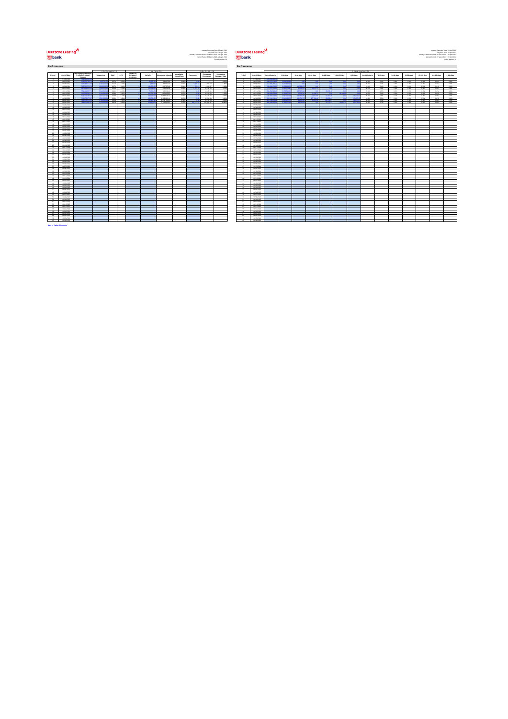# <mark>V</mark><br>بالاتارى<br>Lusbank



|                                     |                     |                                              |                  | <b>NRPNAMPRIS</b> |        |                                                 |                 | <b>DEFAULIS</b>            |                                    |                   | <b>KECOVEKIES</b>               |                            |                               |                        |
|-------------------------------------|---------------------|----------------------------------------------|------------------|-------------------|--------|-------------------------------------------------|-----------------|----------------------------|------------------------------------|-------------------|---------------------------------|----------------------------|-------------------------------|------------------------|
| Period                              | Cut-Off Date        | Approgate Outstanding<br>Portfolio Principal | Prepayments      | SMM               | CPR.   | Number of<br>Defaulted<br><b><i>COMPANY</i></b> | <b>Defaults</b> | <b>Cumulative Defaults</b> | Cursulative<br><b>Default Rate</b> | <b>Recoveries</b> | Cumulative<br><b>Recoveries</b> | Cumulative<br>RecoveryRate | Period                        | Cus-Off Dat            |
|                                     | 07062021            | 649-999-999-3                                |                  |                   |        |                                                 |                 |                            |                                    |                   |                                 |                            |                               | 0206002                |
|                                     | news/seps           | 823 503 758 7                                | 9032213          | 0.021             | oam    |                                                 | 10.000          | 55,697.09                  | Adeta                              |                   |                                 | 0.005                      |                               | 06/07/202              |
| $\mathbf{r}$                        | 06/08/2021          | 416.158.377.56                               | 12325240         | 0.27%             | 3.23%  |                                                 | 9,003.00        | 66,093.39                  | didn's                             | 3,869.58          | 3.869.58                        | 5,98%                      | $\mathbf{r}$                  | 06/08/202              |
|                                     | nomannos            | <b>GA NA OE N</b>                            | 14069004         | 0.999             | 9.656  |                                                 | 104,000.00      | 999 312 94                 | A AAN                              | 669.9             | 490037                          | 2.09%                      |                               | 06/09/202              |
|                                     | 06/10/2021          | <b>CAN CC'S CAT-TO</b>                       | 0.000.0203       | 0.405             | 4,69%  |                                                 | on opp a        | 491,006.38                 | ozes                               | <b>Chatrici</b>   | 10.166.43                       | 2.071                      |                               | 06/10/202              |
|                                     | 06/11/2021          | \$59,411,627.79                              | 5.546.523.54     | 0.96%             | 10,89% |                                                 | 29.924.74       | 670,631.12                 | com                                | 0.00              | 10,165.43                       | 1,78%                      |                               | 06/11/202              |
| ×.                                  | 06/12/2021          | <b>Key Kell Gld 26</b>                       | <b>O MARGARE</b> | 0.389             | 4,42%  |                                                 | 040 744 49      | 81362295                   | A VM.                              | <b>OO</b>         | 10,165.43                       | 1.25%                      | ×                             | 06/12/202              |
| $\mathcal{I}$                       | 06/01/2022          | <b>COS AND AGE VS</b>                        | 2.60721120       | 0.48%             | saw    |                                                 | 044 999 99      | 1,058,545.14               | 0.50%                              | 0.00              | 10.165.43                       | 0.96%                      | $\mathcal{I}$                 | 0601202                |
|                                     | 06/02/2022          | 08.04.07.37                                  | 1,501,203.6      | 0.299             | 3.39%  |                                                 | 122,743.0       | 1.492.295.14               | 0.22%                              |                   | 10,165.43                       | <b>Q.68%</b>               |                               | 06/03/202              |
|                                     | 06/03/2022          | 408.923.378.25                               | 1,294,393.9      | 0.365             | 4.15%  |                                                 | 100 875 8       | 1.629.761.54               | 0.25%                              |                   | 1016543                         | 0.62%                      |                               | 06/03/202              |
| 10                                  | 06/04/2022          | 408.891.592.67                               | 4.254.623.33     | 0.87%             | 9,99%  | $\overline{a}$                                  | 519,329.00      | 2.148.090.62               | 0.32%                              | 268.127.02        | 27829245                        | 12,90%                     | 10                            | 06/04/202              |
| $\ddot{\phantom{a}}$                | <b>NAMZRO</b>       |                                              |                  |                   |        |                                                 |                 |                            |                                    |                   |                                 |                            | $\ddot{\phantom{a}}$          | 0605/202               |
| $\mathbf{e}$                        | nemeranos           |                                              |                  |                   |        |                                                 |                 |                            |                                    |                   |                                 |                            | 49                            | 0606/202               |
| 12                                  | 06/07/2022          |                                              |                  |                   |        |                                                 |                 |                            |                                    |                   |                                 |                            | 12                            | 06/07/202              |
| $^{4.4}$                            | nemeranos           |                                              |                  |                   |        |                                                 |                 |                            |                                    |                   |                                 |                            | $^{4.4}$                      | nonenne                |
| œ                                   | numeroso            |                                              |                  |                   |        |                                                 |                 |                            |                                    |                   |                                 |                            | œ                             | 06/08/202              |
| 16                                  | 06/10/2022          |                                              |                  |                   |        |                                                 |                 |                            |                                    |                   |                                 |                            | 16                            | 06/10/202              |
| 17                                  | 06/11/2022          |                                              |                  |                   |        |                                                 |                 |                            |                                    |                   |                                 |                            | 17                            | 0611002                |
| 18                                  | 06/12/2022          |                                              |                  |                   |        |                                                 |                 |                            |                                    |                   |                                 |                            | 18                            | 06/12/202              |
| <b>vo</b>                           | nemeranos           |                                              |                  |                   |        |                                                 |                 |                            |                                    |                   |                                 |                            | <b>vo</b>                     | 06/01/202              |
| 20                                  | 06/02/2023          |                                              |                  |                   |        |                                                 |                 |                            |                                    |                   |                                 |                            |                               | 0660/202               |
| 21                                  | 06/03/2023          |                                              |                  |                   |        |                                                 |                 |                            |                                    |                   |                                 |                            | 21                            | 06/03/202              |
| $^{46}$                             | newsman             |                                              |                  |                   |        |                                                 |                 |                            |                                    |                   |                                 |                            | $^{26}$                       |                        |
|                                     | needness            |                                              |                  |                   |        |                                                 |                 |                            |                                    |                   |                                 |                            |                               | 06/04/202<br>0605/202  |
| zi<br>24                            | 06/06/2023          |                                              |                  |                   |        |                                                 |                 |                            |                                    |                   |                                 |                            | $\overline{\mathbf{z}}$<br>24 | 06/06/202              |
|                                     |                     |                                              |                  |                   |        |                                                 |                 |                            |                                    |                   |                                 |                            |                               |                        |
| $\overline{\mathbf{z}}$<br>$\infty$ | newsman.<br>nonwoos |                                              |                  |                   |        |                                                 |                 |                            |                                    |                   |                                 |                            | 26<br>$\infty$                | 06/07/202              |
|                                     |                     |                                              |                  |                   |        |                                                 |                 |                            |                                    |                   |                                 |                            |                               | 06/08/202<br>06/09/202 |
| 27                                  | 06/09/2023          |                                              |                  |                   |        |                                                 |                 |                            |                                    |                   |                                 |                            | 22                            |                        |
| $^{26}$                             | 06/10/2023          |                                              |                  |                   |        |                                                 |                 |                            |                                    |                   |                                 |                            |                               | 06/10/202              |
| 29                                  | 06/11/2023          |                                              |                  |                   |        |                                                 |                 |                            |                                    |                   |                                 |                            | 29                            | 0911002                |
| s.                                  | 06/12/2023          |                                              |                  |                   |        |                                                 |                 |                            |                                    |                   |                                 |                            | $\infty$                      | 06/12/202              |
| ù.                                  | <b>GERK/STOLE</b>   |                                              |                  |                   |        |                                                 |                 |                            |                                    |                   |                                 |                            | $^{2}$                        | 0601200                |
| $^{22}$                             | 06/02/2024          |                                              |                  |                   |        |                                                 |                 |                            |                                    |                   |                                 |                            | $^{22}$                       | 0903/202               |
| $^{46}$                             | <b>GEOGRAPH</b>     |                                              |                  |                   |        |                                                 |                 |                            |                                    |                   |                                 |                            | $\overline{\mathcal{N}}$      | 06/03/202              |
| $\Delta$                            | <b>GENERAL</b>      |                                              |                  |                   |        |                                                 |                 |                            |                                    |                   |                                 |                            | $\Delta$                      | 09049004               |
| ×                                   | 06/05/2024          |                                              |                  |                   |        |                                                 |                 |                            |                                    |                   |                                 |                            | $\mathbf{x}$                  | 0605/202               |
| $\mathbf{a}$                        | 06/06/2024          |                                              |                  |                   |        |                                                 |                 |                            |                                    |                   |                                 |                            | $^{26}$                       | 0606/202               |
| 27                                  | 06/07/2024          |                                              |                  |                   |        |                                                 |                 |                            |                                    |                   |                                 |                            | 27                            | 06/07/202              |
| $^{26}$                             | 06/08/2024          |                                              |                  |                   |        |                                                 |                 |                            |                                    |                   |                                 |                            | $^{26}$                       | 06/08/202              |
| s                                   | 06/09/2024          |                                              |                  |                   |        |                                                 |                 |                            |                                    |                   |                                 |                            | w                             | 06/08/202              |
| 40                                  | 06/10/2024          |                                              |                  |                   |        |                                                 |                 |                            |                                    |                   |                                 |                            | 40                            | 06/10/202              |
| $\mathcal{L}$                       | GEN 1/2004          |                                              |                  |                   |        |                                                 |                 |                            |                                    |                   |                                 |                            | $\overline{\phantom{a}}$      | 06/11/202              |
| ä                                   | 06/12/2024          |                                              |                  |                   |        |                                                 |                 |                            |                                    |                   |                                 |                            | $\alpha$                      | 06/12/202              |
| $\alpha$                            | 06/01/2026          |                                              |                  |                   |        |                                                 |                 |                            |                                    |                   |                                 |                            | 42                            | 0601202                |
| 44                                  | oseageas            |                                              |                  |                   |        |                                                 |                 |                            |                                    |                   |                                 |                            | 44                            | 0603202                |
| u                                   | nemannos.           |                                              |                  |                   |        |                                                 |                 |                            |                                    |                   |                                 |                            | ×                             | 06/03/202              |
| $\overline{\phantom{a}}$            | 06/04/2026          |                                              |                  |                   |        |                                                 |                 |                            |                                    |                   |                                 |                            | $\overline{\phantom{a}}$      | 06/04/202              |
| $\sigma$                            | 06/05/2020          |                                              |                  |                   |        |                                                 |                 |                            |                                    |                   |                                 |                            | $\sigma$                      | 0605/202               |
| $\alpha$                            | 06/06/2026          |                                              |                  |                   |        |                                                 |                 |                            |                                    |                   |                                 |                            | $\alpha$                      | 0606/202               |
| <b>AG</b>                           | 06/07/2026          |                                              |                  |                   |        |                                                 |                 |                            |                                    |                   |                                 |                            | Ab.                           | 06/07/202              |
| c.                                  | 06/08/2025          |                                              |                  |                   |        |                                                 |                 |                            |                                    |                   |                                 |                            | $\overline{a}$                | 06/08/202              |
| 61                                  | oseages             |                                              |                  |                   |        |                                                 |                 |                            |                                    |                   |                                 |                            | 61                            | 06/08/202              |
| so.                                 | <b>GENEVING</b>     |                                              |                  |                   |        |                                                 |                 |                            |                                    |                   |                                 |                            | so.                           | 06/10/202              |
| <b>CO</b>                           | <b>GEN KAROE</b>    |                                              |                  |                   |        |                                                 |                 |                            |                                    |                   |                                 |                            | <b>SS</b>                     | 06/11/202              |
| 64                                  | 06/12/2025          |                                              |                  |                   |        |                                                 |                 |                            |                                    |                   |                                 |                            | 64                            | 0912002                |
| 66                                  | 06/01/2026          |                                              |                  |                   |        |                                                 |                 |                            |                                    |                   |                                 |                            | ss                            | 0601202                |
| se                                  | 06/02/2026          |                                              |                  |                   |        |                                                 |                 |                            |                                    |                   |                                 |                            | se                            | 0603302                |
| $\sigma$                            | 06/03/2026          |                                              |                  |                   |        |                                                 |                 |                            |                                    |                   |                                 |                            | 57                            | 0603202                |
| si                                  | 06/04/2026          |                                              |                  |                   |        |                                                 |                 |                            |                                    |                   |                                 |                            | $\alpha$                      | 06/04/202              |
|                                     | 06/05/2026          |                                              |                  |                   |        |                                                 |                 |                            |                                    |                   |                                 |                            | $^{56}$                       | 0605/202               |
|                                     |                     |                                              |                  |                   |        |                                                 |                 |                            |                                    |                   |                                 |                            |                               |                        |
| $^{56}$<br>60                       | 06/06/2026          |                                              |                  |                   |        |                                                 |                 |                            |                                    |                   |                                 |                            | 60                            | 0606/202               |

|                          |                              |                                                       |                                    |                            |                |                               |                            |                            |                                   |              |                         | Pariod Number: 10          |                                           |                                |                                     |                 |                   |                   |                   |              |                      |                        |                        |                |                |                   |              | Period Number: 10     |
|--------------------------|------------------------------|-------------------------------------------------------|------------------------------------|----------------------------|----------------|-------------------------------|----------------------------|----------------------------|-----------------------------------|--------------|-------------------------|----------------------------|-------------------------------------------|--------------------------------|-------------------------------------|-----------------|-------------------|-------------------|-------------------|--------------|----------------------|------------------------|------------------------|----------------|----------------|-------------------|--------------|-----------------------|
| formance                 |                              |                                                       |                                    |                            |                |                               |                            |                            |                                   |              |                         |                            | Performance                               |                                |                                     |                 |                   |                   |                   |              |                      |                        |                        |                |                |                   |              |                       |
|                          |                              |                                                       | PREPAYMENTS                        |                            |                |                               | <b>DEFAULTS</b>            |                            |                                   |              | RECOVERIES              |                            |                                           |                                |                                     |                 |                   |                   |                   |              | <b>DELINQUENCIES</b> |                        |                        |                |                |                   |              |                       |
| riod                     | Cut-Off Date                 | Aggregate Outstandin<br>Portfolio Principal<br>Amount | Propayments                        | SMM                        | CPR.           | Number of<br><b>Defaulted</b> | <b>Defaults</b>            | <b>Cumulative Defaults</b> | Cumulative<br><b>Default Rate</b> | Recoveries   | Cumdative<br>Recoveries | Cumulative<br>RecoveryRate | Period                                    | Cus-Off Date                   | Not delinquent                      | 1-30 days       | 3140 days         | 41-90 days        | 91-120 days       | 121-150 days | $>150$ days          | Not delinquent         | 1-30 days              | 31-60 days     | 61-92 days     | 95-120 days       | 121-150 days | $>150 \text{ days}$   |
|                          | 07060001                     |                                                       |                                    |                            |                |                               |                            |                            |                                   |              |                         |                            | ÷                                         | 42060011                       |                                     |                 |                   |                   |                   |              |                      |                        |                        |                |                |                   |              |                       |
|                          | <b>AGENDAL</b><br>06/08/2021 | AND CONTROL<br>616,158,377                            | <b>ANADYSK</b><br>1232524          | A 65h<br>0.27%             | A-MA<br>3.23%  |                               | 9,202.2                    | 55,697.09<br>66,093.39     | 4.44<br>opthi                     | 10,000.0     | 3,869.58                | $-0.04$<br>5.969           | $\overline{\phantom{a}}$<br>$\rightarrow$ | <b>ARRESTORE</b><br>09080021   | <b>ANA AND ANA</b><br>613.886.217.5 | 2.272.160       |                   |                   |                   |              |                      | <b>AN AN'</b><br>99.9% | <b>COMPANY</b><br>0.4% | A day<br>apts. | A day<br>a.oni | 4.000<br>$-0.0\%$ | A-MA<br>0.0% | <b>CARDON</b><br>0.0% |
|                          | newspaper                    | <b>CAR DEAL CO</b>                                    |                                    | 0.92%                      | A edit         |                               |                            | 20070728                   | open                              |              | 4.822.87                | 2.09                       | $\overline{1}$                            | nonprone.                      | <b>DE ADE VED D</b>                 |                 |                   |                   |                   |              |                      | 99.9%                  | CAN                    | am.            | 0.0%           | $\overline{AB}$   | AMC.         | $0.0\%$               |
|                          | 06/10/2021                   |                                                       |                                    | A MHL                      | 4,601          |                               |                            | 491,006.38                 | $0.00\%$                          | <b>COATO</b> | 10,565.43               | 2.07                       | $\overline{a}$                            | 09/10/2021                     | C27 C45 004 +1                      |                 |                   |                   |                   |              |                      | 99.9%                  | 0.5%                   | aps.           | a.oni          | A.M.              | 0.0%         | 0.0%                  |
|                          | 06/11/2021<br>newspape       | 0082112022<br><b>Key Kell Kit</b>                     | <b>COMPANY</b><br><b>O MAIN AS</b> | 0.96%<br><b>CONTRACTOR</b> | 10.89<br>4.400 |                               | 2010/01/1<br><b>NOTICE</b> | 670,631.12<br>energy       | con<br>$A + 96$                   |              | 1016543<br>1010543      | 1.781<br>$+90$             | $\sim$<br>$\sim$                          | 09/11/2021<br>developed to     | <b>COLLEGEN ON</b><br>Cho neo en    | <b>OTHOGAN</b>  | 100.00<br>$-0.01$ |                   |                   |              |                      | 99.5%<br>49.6%         | 0.9%<br>0.8%           | aps.<br>O.ONG  | 0.0%<br>00%    | cos.<br>Add not   | 0.0%<br>C-MA | a.oni<br>- 0.0%       |
|                          | 06010022                     | \$23,402,496.13                                       | 2,60721126                         | 0.48%                      | 5,62%          |                               | 244,923.19                 | 1,059,546.14               | 0.50%                             |              | 10,165.43               | 0.96%                      | $\rightarrow$                             | 06012022                       | \$20,330,329.87                     | 2.587.990.5     | 206.570           | 59,502.8          | 5106330           |              | 127 Oct              | 99.4%                  | 0.5%                   | QHb            | 0.0%           | 40%               | 0.0%         | 0.0%                  |
|                          | numeroso                     | 506 514 677 57                                        | <b>CONTRACTOR</b>                  | - 0.06%                    | <b>A MAIN</b>  |                               | 499,745.00                 | 1,492,295.14               | AWK                               |              | 1010543                 | 0.689                      | $\overline{\phantom{a}}$                  |                                | 06/02/2022 1603 144 039 44          | A dist post for | 149-9021          | <b>CONTRACTOR</b> | <b>CALIFORNIA</b> |              |                      | 90R                    | 0.96                   | 0.006          | - 0.0%         | AM.               | Children,    | $0.0\%$               |
|                          | 06/03/2022                   |                                                       |                                    | 0.35%                      | 4.958          |                               | 50.400                     | 1.628.761.54               | 6.20%                             |              | 10.565.42               | 0.621                      | ÷                                         | 06032022                       |                                     |                 |                   |                   |                   |              |                      | 99.6%                  | 0.2%                   | 0.0%           | 0.0%           | 40%               | 0.0%         | 0.0%                  |
| Ħ.                       | 06/04/2022<br>06/05/2022     | 498.891.592.67                                        | 4.254,623.33                       | 0.87%                      | 9.99%          |                               | 519,229.00                 | 2148090.62                 | 0.32%                             | 100117-01    | 278,292.45              | 12,98%                     | 10<br>$-14$                               | 09/04/2022<br>06/05/2022       | 465.435.119.04                      | 1009040094      | 48,711.           |                   | 0917917           | 20,000       | 60.62                | 99.2%                  | 0.7%                   | $0.0\%$        | 0.0%           | $0.0\%$           | 0.0%         | 0.0%                  |
| 12                       | 06/06/2022                   |                                                       |                                    |                            |                |                               |                            |                            |                                   |              |                         |                            | 12                                        | 0606/2022                      |                                     |                 |                   |                   |                   |              |                      |                        |                        |                |                |                   |              |                       |
| 13                       | numero.                      |                                                       |                                    |                            |                |                               |                            |                            |                                   |              |                         |                            | $\rightarrow$                             | 0603002                        |                                     |                 |                   |                   |                   |              |                      |                        |                        |                |                |                   |              |                       |
| $\overline{u}$           | 06082022                     |                                                       |                                    |                            |                |                               |                            |                            |                                   |              |                         |                            | 14<br>$+6$                                | 0608/2022                      |                                     |                 |                   |                   |                   |              |                      |                        |                        |                |                |                   |              |                       |
| $\overline{16}$          | 06/09/2022<br>06/10/2022     |                                                       |                                    |                            |                |                               |                            |                            |                                   |              |                         |                            | 16                                        | 06/08/2022<br>06/10/2022       |                                     |                 |                   |                   |                   |              |                      |                        |                        |                |                |                   |              |                       |
| 17                       | 06/11/2022                   |                                                       |                                    |                            |                |                               |                            |                            |                                   |              |                         |                            | 17                                        | 06/11/2022                     |                                     |                 |                   |                   |                   |              |                      |                        |                        |                |                |                   |              |                       |
| tk.                      | 06/12/2022                   |                                                       |                                    |                            |                |                               |                            |                            |                                   |              |                         |                            | 18                                        | 06/12/2022                     |                                     |                 |                   |                   |                   |              |                      |                        |                        |                |                |                   |              |                       |
| es.                      | <b>GENVION</b>               |                                                       |                                    |                            |                |                               |                            |                            |                                   |              |                         |                            | 191<br><b>Abb</b>                         | <b>AMARING</b><br>departments. |                                     |                 |                   |                   |                   |              |                      |                        |                        |                |                |                   |              |                       |
| 'n                       | 06/02/2023<br>oseageza       |                                                       |                                    |                            |                |                               |                            |                            |                                   |              |                         |                            | 21                                        | outpages                       |                                     |                 |                   |                   |                   |              |                      |                        |                        |                |                |                   |              |                       |
| n                        | 06042023                     |                                                       |                                    |                            |                |                               |                            |                            |                                   |              |                         |                            | $\boldsymbol{\mathcal{D}}$                | 06/04/2023                     |                                     |                 |                   |                   |                   |              |                      |                        |                        |                |                |                   |              |                       |
| zi.                      | 06052023                     |                                                       |                                    |                            |                |                               |                            |                            |                                   |              |                         |                            | 22                                        | 0905/2023                      |                                     |                 |                   |                   |                   |              |                      |                        |                        |                |                |                   |              |                       |
| $26 -$                   | 06/06/2023<br><b>NATION</b>  |                                                       |                                    |                            |                |                               |                            |                            |                                   |              |                         |                            | 26                                        | 09060023<br>nanomnia           |                                     |                 |                   |                   |                   |              |                      |                        |                        |                |                |                   |              |                       |
| ×<br>u.                  | numeross.                    |                                                       |                                    |                            |                |                               |                            |                            |                                   |              |                         |                            | $^{26}$<br><b>ALC</b>                     | AGAIN DATA                     |                                     |                 |                   |                   |                   |              |                      |                        |                        |                |                |                   |              |                       |
| $\boldsymbol{\eta}$      | 06/09/2023                   |                                                       |                                    |                            |                |                               |                            |                            |                                   |              |                         |                            | 27                                        | outpages                       |                                     |                 |                   |                   |                   |              |                      |                        |                        |                |                |                   |              |                       |
| ×                        | 06/10/2022                   |                                                       |                                    |                            |                |                               |                            |                            |                                   |              |                         |                            | 28                                        | 06/10/2023                     |                                     |                 |                   |                   |                   |              |                      |                        |                        |                |                |                   |              |                       |
| 29.<br>w                 | determines.<br>06/12/2022    |                                                       |                                    |                            |                |                               |                            |                            |                                   |              |                         |                            | 100.00                                    | determine<br>09120023          |                                     |                 |                   |                   |                   |              |                      |                        |                        |                |                |                   |              |                       |
| s.                       | <b>GERA/WOLF</b>             |                                                       |                                    |                            |                |                               |                            |                            |                                   |              |                         |                            | 20<br>24                                  | debutions.                     |                                     |                 |                   |                   |                   |              |                      |                        |                        |                |                |                   |              |                       |
| w                        | 06/02/2024                   |                                                       |                                    |                            |                |                               |                            |                            |                                   |              |                         |                            | $-22$                                     | 06/02/2024                     |                                     |                 |                   |                   |                   |              |                      |                        |                        |                |                |                   |              |                       |
|                          | 06/03/2024                   |                                                       |                                    |                            |                |                               |                            |                            |                                   |              |                         |                            | $22 -$                                    | 0903/2024                      |                                     |                 |                   |                   |                   |              |                      |                        |                        |                |                |                   |              |                       |
| ×                        | <b>GENERAL</b><br>06/05/2024 |                                                       |                                    |                            |                |                               |                            |                            |                                   |              |                         |                            | $\overline{M}$<br>$-26$                   | debarans.<br>09050024          |                                     |                 |                   |                   |                   |              |                      |                        |                        |                |                |                   |              |                       |
| ×.                       | 06/06/2024                   |                                                       |                                    |                            |                |                               |                            |                            |                                   |              |                         |                            | $-26$                                     | 09060004                       |                                     |                 |                   |                   |                   |              |                      |                        |                        |                |                |                   |              |                       |
| w.                       | 06/07/2024                   |                                                       |                                    |                            |                |                               |                            |                            |                                   |              |                         |                            | 27                                        | 09/07/2024                     |                                     |                 |                   |                   |                   |              |                      |                        |                        |                |                |                   |              |                       |
| u.                       | 06/08/2024                   |                                                       |                                    |                            |                |                               |                            |                            |                                   |              |                         |                            | $\overline{\mathbf{z}}$                   | 09092024                       |                                     |                 |                   |                   |                   |              |                      |                        |                        |                |                |                   |              |                       |
| ¥.<br>e.                 | 06/09/2024<br>06/10/2024     |                                                       |                                    |                            |                |                               |                            |                            |                                   |              |                         |                            | $\sim$<br>$-40$                           | nonpronie<br>0910/2024         |                                     |                 |                   |                   |                   |              |                      |                        |                        |                |                |                   |              |                       |
| $\blacksquare$           | 06/11/2024                   |                                                       |                                    |                            |                |                               |                            |                            |                                   |              |                         |                            | $-41$                                     | 09110024                       |                                     |                 |                   |                   |                   |              |                      |                        |                        |                |                |                   |              |                       |
| n.                       | 06/12/2024                   |                                                       |                                    |                            |                |                               |                            |                            |                                   |              |                         |                            | $\alpha$                                  | 09120024                       |                                     |                 |                   |                   |                   |              |                      |                        |                        |                |                |                   |              |                       |
| n.                       | 06/01/2026<br><b>NAVADE</b>  |                                                       |                                    |                            |                |                               |                            |                            |                                   |              |                         |                            | $-42$<br>$\overline{\phantom{a}}$         | outnoos<br>numerous.           |                                     |                 |                   |                   |                   |              |                      |                        |                        |                |                |                   |              |                       |
| $\overline{\phantom{a}}$ | oseagegs                     |                                                       |                                    |                            |                |                               |                            |                            |                                   |              |                         |                            | $\mathcal{M}_{\mathrm{c}}$                | outoarpoos                     |                                     |                 |                   |                   |                   |              |                      |                        |                        |                |                |                   |              |                       |
| ai.                      | 06/04/2026                   |                                                       |                                    |                            |                |                               |                            |                            |                                   |              |                         |                            | $-46$                                     | 06/04/2025                     |                                     |                 |                   |                   |                   |              |                      |                        |                        |                |                |                   |              |                       |
| o.                       | osesses                      |                                                       |                                    |                            |                |                               |                            |                            |                                   |              |                         |                            | $\mathcal{L}$                             | outdoords                      |                                     |                 |                   |                   |                   |              |                      |                        |                        |                |                |                   |              |                       |
| e.                       | okeages.<br>osenzezo         |                                                       |                                    |                            |                |                               |                            |                            |                                   |              |                         |                            | $-48$<br>$-49$                            | outos/pops<br>ouchgoos         |                                     |                 |                   |                   |                   |              |                      |                        |                        |                |                |                   |              |                       |
| e.<br>c.                 | newww.                       |                                                       |                                    |                            |                |                               |                            |                            |                                   |              |                         |                            | <b>SO</b>                                 | nonennos                       |                                     |                 |                   |                   |                   |              |                      |                        |                        |                |                |                   |              |                       |
| S1.                      | 06/09/2025                   |                                                       |                                    |                            |                |                               |                            |                            |                                   |              |                         |                            | $-51$                                     | outos/2025                     |                                     |                 |                   |                   |                   |              |                      |                        |                        |                |                |                   |              |                       |
|                          | <b>GANZING</b>               |                                                       |                                    |                            |                |                               |                            |                            |                                   |              |                         |                            | $\sim$                                    | <b>NUMBER</b>                  |                                     |                 |                   |                   |                   |              |                      |                        |                        |                |                |                   |              |                       |
| sa                       | 06/11/2025<br>new transac    |                                                       |                                    |                            |                |                               |                            |                            |                                   |              |                         |                            | 53                                        | 09110025                       |                                     |                 |                   |                   |                   |              |                      |                        |                        |                |                |                   |              |                       |
| S6.<br>u.                | <b>GENVIOL</b>               |                                                       |                                    |                            |                |                               |                            |                            |                                   |              |                         |                            | 54<br>$_{\alpha}$                         | 09120025<br>06010006           |                                     |                 |                   |                   |                   |              |                      |                        |                        |                |                |                   |              |                       |
| u                        | neennos                      |                                                       |                                    |                            |                |                               |                            |                            |                                   |              |                         |                            | $\sim$                                    | constraints                    |                                     |                 |                   |                   |                   |              |                      |                        |                        |                |                |                   |              |                       |
| 57.                      | 06/03/2026                   |                                                       |                                    |                            |                |                               |                            |                            |                                   |              |                         |                            | $-67$                                     | 0603009                        |                                     |                 |                   |                   |                   |              |                      |                        |                        |                |                |                   |              |                       |
|                          | 06/04/2026<br><b>NAVAGE</b>  |                                                       |                                    |                            |                |                               |                            |                            |                                   |              |                         |                            | <b>CG</b>                                 | 06042026<br>newsmap            |                                     |                 |                   |                   |                   |              |                      |                        |                        |                |                |                   |              |                       |
| 60                       | 06/06/2026                   |                                                       |                                    |                            |                |                               |                            |                            |                                   |              |                         |                            | 60                                        | 0606/2026                      |                                     |                 |                   |                   |                   |              |                      |                        |                        |                |                |                   |              |                       |
|                          |                              |                                                       |                                    |                            |                |                               |                            |                            |                                   |              |                         |                            |                                           |                                |                                     |                 |                   |                   |                   |              |                      |                        |                        |                |                |                   |              |                       |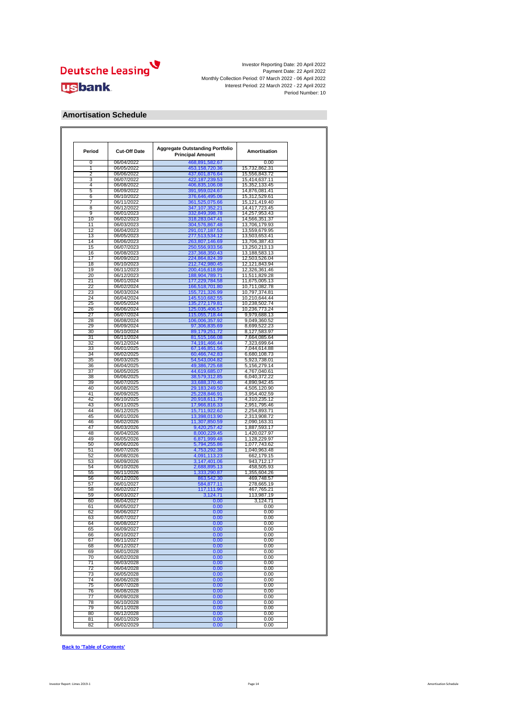

#### **Amortisation Schedule**

| Period   | <b>Cut-Off Date</b>      | <b>Aggregate Outstanding Portfolio</b><br><b>Principal Amount</b> | Amortisation                   |
|----------|--------------------------|-------------------------------------------------------------------|--------------------------------|
| 0        | 06/04/2022               | 468,891,582.67                                                    | 0.00                           |
| 1        | 06/05/2022               | 453, 158, 720. 36                                                 | 15,732,862.31                  |
| 2        | 06/06/2022               | 437,601,876.64                                                    | 15,556,843.72                  |
| 3<br>4   | 06/07/2022<br>06/08/2022 | 422, 187, 239.53                                                  | 15,414,637.11<br>15,352,133.45 |
| 5        | 06/09/2022               | 406,835,106.08<br>391,959,024.67                                  | 14,876,081.41                  |
| 6        | 06/10/2022               | 376,646,495.06                                                    | 15,312,529.61                  |
| 7        | 06/11/2022               | 361,525,075.66                                                    | 15,121,419.40                  |
| 8        | 06/12/2022               | 347,107,352.21                                                    | 14,417,723.45                  |
| 9        | 06/01/2023               | 332,849,398.78                                                    | 14,257,953.43                  |
| 10       | 06/02/2023               | 318,283,047.41                                                    | 14,566,351.37                  |
| 11<br>12 | 06/03/2023<br>06/04/2023 | 304,576,867.48                                                    | 13,706,179.93<br>13,559,679.95 |
| 13       | 06/05/2023               | 291,017,187.53<br>277,513,534.12                                  | 13,503,653.41                  |
| 14       | 06/06/2023               | 263,807,146.69                                                    | 13,706,387.43                  |
| 15       | 06/07/2023               | 250,556,933.56                                                    | 13,250,213.13                  |
| 16       | 06/08/2023               | 237,368,350.43                                                    | 13,188,583.13                  |
| 17       | 06/09/2023               | 224,864,824.39                                                    | 12,503,526.04                  |
| 18       | 06/10/2023               | 212,742,980.45                                                    | 12,121,843.94                  |
| 19       | 06/11/2023               | 200,416,618.99                                                    | 12,326,361.46                  |
| 20       | 06/12/2023               | 188,904,789.71                                                    | 11,511,829.28                  |
| 21       | 06/01/2024               | 177,229,784.58                                                    | 11,675,005.13                  |
| 22<br>23 | 06/02/2024<br>06/03/2024 | 166,518,701.80                                                    | 10,711,082.78                  |
| 24       | 06/04/2024               | 155,721,326.99<br>145,510,682.55                                  | 10,797,374.81<br>10,210,644.44 |
| 25       | 06/05/2024               | 135,272,179.81                                                    | 10,238,502.74                  |
| 26       | 06/06/2024               | 125,035,406.57                                                    | 10,236,773.24                  |
| 27       | 06/07/2024               | 115,055,718.44                                                    | 9.979.688.13                   |
| 28       | 06/08/2024               | 106,006,357.92                                                    | 9,049,360.52                   |
| 29       | 06/09/2024               | 97,306,835.69                                                     | 8,699,522.23                   |
| 30       | 06/10/2024               | 89,179,251.72                                                     | 8,127,583.97                   |
| 31       | 06/11/2024               | 81,515,166.08                                                     | 7,664,085.64                   |
| 32       | 06/12/2024               | 74,191,466.44                                                     | 7,323,699.64                   |
| 33       | 06/01/2025               | 67,146,851.56                                                     | 7,044,614.88                   |
| 34       | 06/02/2025               | 60,466,742.83                                                     | 6,680,108.73                   |
| 35       | 06/03/2025               | 54,543,004.82                                                     | 5,923,738.01                   |
| 36       | 06/04/2025               | 49,386,725.68                                                     | 5,156,279.14                   |
| 37       | 06/05/2025               | 44,619,685.07                                                     | 4,767,040.61                   |
| 38       | 06/06/2025               | 38,579,312.85                                                     | 6,040,372.22                   |
| 39       | 06/07/2025               | 33,688,370.40                                                     | 4,890,942.45                   |
| 40<br>41 | 06/08/2025               | 29,183,249.50                                                     | 4,505,120.90                   |
| 42       | 06/09/2025               | 25,228,846.91                                                     | 3,954,402.59                   |
| 43       | 06/10/2025<br>06/11/2025 | 20,918,611.79                                                     | 4,310,235.12                   |
| 44       | 06/12/2025               | 17,966,816.33<br>15,711,922.62                                    | 2,951,795.46<br>2,254,893.71   |
| 45       | 06/01/2026               | 13,398,013.90                                                     | 2,313,908.72                   |
| 46       | 06/02/2026               | 11,307,850.59                                                     | 2,090,163.31                   |
| 47       | 06/03/2026               | 9,420,257.42                                                      | 1,887,593.17                   |
| 48       | 06/04/2026               | 8,000,229.45                                                      | 1,420,027.97                   |
| 49       | 06/05/2026               | 6,871,999.48                                                      | 1,128,229.97                   |
| 50       | 06/06/2026               | 5,794,255.86                                                      | 1,077,743.62                   |
| 51       | 06/07/2026               | 4,753,292.38                                                      | 1,040,963.48                   |
| 52       | 06/08/2026               | 4,091,113.23                                                      | 662,179.15                     |
| 53       | 06/09/2026               | 3,147,401.06                                                      | 943,712.17                     |
| 54       | 06/10/2026               | 2,688,895.13                                                      | 458,505.93                     |
| 55       | 06/11/2026               | 1,333,290.87                                                      | 1,355,604.26                   |
| 56       | 06/12/2026               | 863,542.30                                                        | 469,748.57                     |
| 57       | 06/01/2027               | 584,877.11                                                        | 278,665.19                     |
| 58<br>59 | 06/02/2027<br>06/03/2027 | 117,111.90<br>3,124.71                                            | 467,765.21                     |
| 60       | 06/04/2027               | 0.00                                                              | 113,987.19<br>3,124.71         |
| 61       | 06/05/2027               | 0.00                                                              | 0.00                           |
| 62       | 06/06/2027               | ი იი                                                              | 0.00                           |
| 63       | 06/07/2027               | 0.00                                                              | 0.00                           |
| 64       | 06/08/2027               | 0.00                                                              | 0.00                           |
| 65       | 06/09/2027               | 0.00                                                              | 0.00                           |
| 66       | 06/10/2027               | 0.00                                                              | 0.00                           |
| 67       | 06/11/2027               | 0.00                                                              | 0.00                           |
| 68       | 06/12/2027               | 0.00                                                              | 0.00                           |
| 69       | 06/01/2028               | 0.00                                                              | 0.00                           |
| 70       | 06/02/2028               | 0.00                                                              | 0.00                           |
| 71       | 06/03/2028               | 0.00                                                              | 0.00                           |
| 72       | 06/04/2028               | 0.00                                                              | 0.00                           |
| 73       | 06/05/2028               | 0.00                                                              | 0.00                           |
| 74       | 06/06/2028               | 0.00                                                              | 0.00                           |
| 75       | 06/07/2028               | 0.00                                                              | 0.00                           |
| 76       | 06/08/2028               | 0.00                                                              | 0.00                           |
| 77       | 06/09/2028               | 0.00                                                              | 0.00                           |
| 78       | 06/10/2028               | 0.00                                                              | 0.00                           |
| 79<br>80 | 06/11/2028<br>06/12/2028 | 0.00<br>0.00                                                      | 0.00<br>0.00                   |
| 81       | 06/01/2029               | 0.00                                                              | 0.00                           |
|          |                          |                                                                   |                                |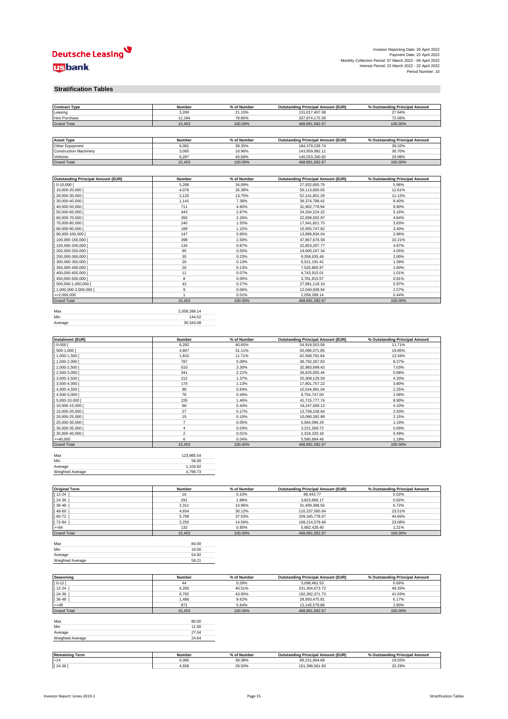#### **Stratification Tables**

| <b>Contract Type</b>                      | Number           | % of Number           | <b>Outstanding Principal Amount (EUR)</b>                  | % Outstanding Principal Amount           |
|-------------------------------------------|------------------|-----------------------|------------------------------------------------------------|------------------------------------------|
| Leasing                                   | 3,269            | 21.15%                | 131,017,407.08                                             | 27.94%                                   |
| Hire Purchase<br><b>Grand Total</b>       | 12,184<br>15,453 | 78.85%<br>100.00%     | 337,874,175.59<br>468,891,582.67                           | 72.06%<br>100.00%                        |
|                                           |                  |                       |                                                            |                                          |
|                                           |                  |                       |                                                            |                                          |
| <b>Asset Type</b>                         | Number           | % of Number           | <b>Outstanding Principal Amount (EUR)</b>                  | % Outstanding Principal Amount           |
| Other Equipment                           | 6,081            | 39.35%                | 184,379,239.74                                             | 39.32%                                   |
| <b>Construction Machinery</b>             | 3,085            | 19.96%                | 143,959,082.11                                             | 30.70%                                   |
| Vehicles                                  | 6,287            | 40.68%                | 140,553,260.82                                             | 29.98%                                   |
| <b>Grand Total</b>                        | 15,453           | 100.00%               | 468,891,582.67                                             | 100.00%                                  |
|                                           |                  |                       |                                                            |                                          |
| <b>Outstanding Principal Amount (EUR)</b> | Number           | % of Number           | <b>Outstanding Principal Amount (EUR)</b>                  | % Outstanding Principal Amount           |
| $0-10,000$ [                              | 5,268            | 34.09%                | 27,932,605.79                                              | 5.96%                                    |
| 10,000-20,000                             | 4,076            | 26.38%                | 59,113,605.05                                              | 12.61%                                   |
| 20,000-30,000                             | 2,125            | 13.75%                | 52, 141, 851.29                                            | 11.12%                                   |
| 30,000-40,000                             | 1,141            | 7.38%                 | 39,374,788.42                                              | 8.40%                                    |
| 40,000-50,000                             | 711              | 4.60%                 | 31,902,778.94                                              | 6.80%                                    |
| 50,000-60,000                             | 443              | 2.87%                 | 24,204,224.22                                              | 5.16%                                    |
| 60,000-70,000                             | 350              | 2.26%                 | 22,699,502.97                                              | 4.84%                                    |
| 70,000-80,000                             | 240              | 1.55%                 | 17,941,821.75                                              | 3.83%                                    |
| 80,000-90,000                             | 189              | 1.22%                 | 15,955,747.82                                              | 3.40%                                    |
| 90,000-100,000                            | 147              | 0.95%                 | 13,896,834.04                                              | 2.96%                                    |
| 100,000-150,000                           | 398              | 2.58%                 | 47,867,676.58                                              | 10.21%                                   |
| 150,000-200,000                           | 134              | 0.87%                 | 22,853,207.77                                              | 4.87%                                    |
| 200,000-250,000                           | 85               | 0.55%                 | 19,000,167.34                                              | 4.05%                                    |
| 250,000-300,000                           | 35               | 0.23%                 | 9,358,635.49                                               | 2.00%                                    |
| 300,000-350,000                           | 20               | 0.13%                 | 6,521,191.41                                               | 1.39%                                    |
| 350,000-400,000                           | 20               | 0.13%                 | 7,520,865.97                                               | 1.60%                                    |
| 400,000-450,000                           | 11               | 0.07%                 | 4,743,915.01                                               | 1.01%                                    |
| 450,000-500,000                           | 8                | 0.05%                 | 3,781,815.57                                               | 0.81%                                    |
| 500,000-1,000,000 [                       | 42               | 0.27%                 | 27,981,118.16                                              | 5.97%                                    |
| 1,000,000-2,000,000                       | 9                | 0.06%                 | 12,040,939.94                                              | 2.57%                                    |
| $=2,000,000$<br><b>Grand Total</b>        | 1<br>15,453      | 0.01%<br>100.00%      | 2,058,289.14<br>468,891,582.67                             | 0.44%<br>100.00%                         |
|                                           |                  |                       |                                                            |                                          |
| Max                                       | 2,058,289.14     |                       |                                                            |                                          |
| Min                                       | 144.52           |                       |                                                            |                                          |
| Average                                   | 30,343.08        |                       |                                                            |                                          |
|                                           |                  |                       |                                                            |                                          |
|                                           |                  |                       |                                                            |                                          |
| <b>Instalment (EUR)</b>                   | Number           | % of Number           | <b>Outstanding Principal Amount (EUR)</b>                  | % Outstanding Principal Amount           |
| $0 - 500$                                 | 6,282            | 40.65%                | 54,919,503.58                                              | 11.71%                                   |
| 500-1,000                                 | 4,807            | 31.11%                | 93,096,071.85                                              | 19.85%                                   |
| 1,000-1,500                               | 1,810            | 11.71%                | 62,568,791.84                                              | 13.34%                                   |
| 1,500-2,000                               | 787              | 5.09%                 | 38,792,267.63                                              | 8.27%                                    |
| 2,000-2,500                               | 510              | 3.30%                 | 32,983,699.43                                              | 7.03%                                    |
| 2,500-3,000                               | 341              | 2.21%                 | 26,625,055.44                                              | 5.68%                                    |
| 3,000-3,500                               | 212              | 1.37%                 | 20,308,128.59                                              | 4.33%                                    |
| 3,500-4,000                               | 174              | 1.13%                 | 17,801,757.22                                              | 3.80%                                    |
| 4,000-4,500                               | 99               | 0.64%                 | 10,544,991.04                                              | 2.25%                                    |
| 4,500-5,000                               | 76               | 0.49%                 | 9,754,747.00                                               | 2.08%                                    |
| 5,000-10,000                              | 226              | 1.46%                 | 41,715,777.74                                              | 8.90%                                    |
| 10,000-15,000                             | 68               | 0.44%                 | 19,247,569.13                                              | 4.10%                                    |
| 15,000-20,000                             | 27               | 0.17%                 | 13,758,158.64                                              | 2.93%                                    |
| 20,000-25,000                             | 15               | 0.10%                 | 10,090,392.89                                              | 2.15%                                    |
| 25,000-30,000                             | $\overline{7}$   | 0.05%                 | 5,564,096.29                                               | 1.19%                                    |
| 30,000-35,000                             | $\overline{a}$   | 0.03%                 | 3,221,569.72                                               | 0.69%                                    |
| 35,000-40,000                             | $\mathbf 2$      | 0.01%                 | 2,318,320.18                                               | 0.49%                                    |
| $=40,000$                                 | 6                | 0.04%                 | 5,580,684.46                                               | 1.19%                                    |
| <b>Grand Total</b>                        | 15,453           | 100.00%               | 468,891,582.67                                             | 100.00%                                  |
| Max                                       | 123,985.54       |                       |                                                            |                                          |
| Min                                       | 56.00            |                       |                                                            |                                          |
| Average                                   | 1,103.92         |                       |                                                            |                                          |
| Weighted Average                          | 4,799.73         |                       |                                                            |                                          |
|                                           |                  |                       |                                                            |                                          |
| <b>Original Term</b>                      |                  |                       | <b>Outstanding Principal Amount (EUR)</b>                  |                                          |
| 12-24                                     | Number<br>16     | % of Number<br>0.10%  | 88,443.77                                                  | % Outstanding Principal Amount<br>0.02%  |
| 24-36                                     | 291              | 1.88%                 | 3,823,868.17                                               | 0.82%                                    |
| 36-48                                     |                  |                       | 31,499,398.56                                              |                                          |
| 48-60                                     | 2,311<br>4,654   | 14.96%<br>30.12%      | 110,237,585.64                                             | 6.72%<br>23.51%                          |
| 60-72                                     | 5,799            | 37.53%                |                                                            | 44.65%                                   |
| 72-84                                     | 2,250            | 14.56%                | 209, 345, 778.67<br>108,214,079.46                         | 23.08%                                   |
| $= 84$                                    | 132              | 0.85%                 | 5,682,428.40                                               | 1.21%                                    |
| <b>Grand Total</b>                        | 15,453           | 100.00%               | 468,891,582.67                                             | 100.00%                                  |
|                                           |                  |                       |                                                            |                                          |
| Max                                       | 84.00            |                       |                                                            |                                          |
| Min                                       | 18.00            |                       |                                                            |                                          |
| Average                                   | 54.92            |                       |                                                            |                                          |
| Weighted Average                          | 59.21            |                       |                                                            |                                          |
|                                           |                  |                       |                                                            |                                          |
| Seasoning                                 | Number           | % of Number           | <b>Outstanding Principal Amount (EUR)</b>                  | % Outstanding Principal Amount           |
| $0 - 12$                                  | 44               | 0.28%                 | 3,098,481.53                                               | 0.66%                                    |
| 12-24                                     | 6,260            | 40.51%                | 231,304,673.72                                             | 49.33%                                   |
| 24-36                                     | 6,792            | 43.95%                | 192,392,371.73                                             | 41.03%                                   |
| 36-48                                     | 1,486            | 9.62%                 | 28,950,475.81                                              | 6.17%                                    |
| -48                                       | 871              | 5.64%                 | 13,145,579.88                                              | 2.80%                                    |
| <b>Grand Total</b>                        | 15,453           | 100.00%               | 468,891,582.67                                             | 100.00%                                  |
|                                           |                  |                       |                                                            |                                          |
| Max                                       | 80.00            |                       |                                                            |                                          |
| Min                                       | 11.00            |                       |                                                            |                                          |
| Average                                   | 27.04            |                       |                                                            |                                          |
| Weighted Average                          | 24.64            |                       |                                                            |                                          |
|                                           |                  |                       |                                                            |                                          |
|                                           |                  |                       |                                                            |                                          |
| <b>Remaining Term</b><br>24               | Number<br>6,085  | % of Number<br>39.38% | <b>Outstanding Principal Amount (EUR)</b><br>89,221,994.68 | % Outstanding Principal Amount<br>19.03% |
|                                           |                  |                       |                                                            |                                          |

[ 24-36 [ 4,558 29.50% 151,398,561.83 32.29%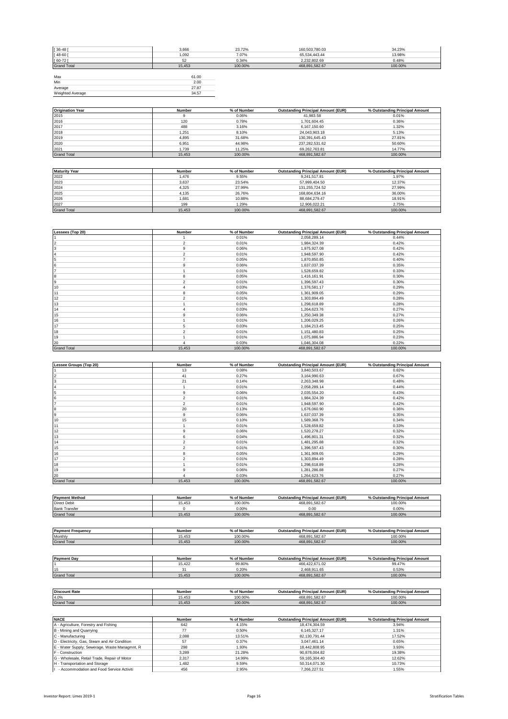| $[36 - 48]$        | 3,666  | 23.72%  | 160,503,780.03 | 34.23%  |
|--------------------|--------|---------|----------------|---------|
| $[48-60]$          | 1,092  | 7.07%   | 65,534,443.44  | 13.98%  |
| $[60 - 72]$        | 52     | 0.34%   | 2,232,802.69   | 0.48%   |
| <b>Grand Total</b> | 15,453 | 100.00% | 468,891,582.67 | 100.00% |
|                    |        |         |                |         |
| Max                | 61.00  |         |                |         |
| Min                | 2.00   |         |                |         |
| Average            | 27.87  |         |                |         |
| Weighted Average   | 34.57  |         |                |         |
|                    |        |         |                |         |

| <b>Origination Year</b> | Number | % of Number | <b>Outstanding Principal Amount (EUR)</b> | % Outstanding Principal Amount |
|-------------------------|--------|-------------|-------------------------------------------|--------------------------------|
| 2015                    |        | 0.06%       | 41,983.58                                 | 0.01%                          |
| 2016                    | 120    | 0.78%       | 1.701.604.45                              | 0.36%                          |
| 2017                    | 488    | 3.16%       | 6.167.150.60                              | 1.32%                          |
| 2018                    | 1.251  | 8.10%       | 24.043.903.18                             | 5.13%                          |
| 2019                    | 4.895  | 31.68%      | 130,391,645.43                            | 27.81%                         |
| 2020                    | 6,951  | 44.98%      | 237,282,531.62                            | 50.60%                         |
| 2021                    | 1.739  | 11.25%      | 69.262.763.81                             | 14.77%                         |
| <b>Grand Total</b>      | 15.453 | 100.00%     | 468.891.582.67                            | 100.00%                        |

| <b>Maturity Year</b> | Number | % of Number | <b>Outstanding Principal Amount (EUR)</b> | % Outstanding Principal Amount |
|----------------------|--------|-------------|-------------------------------------------|--------------------------------|
| 2022                 | .476   | 9.55%       | 9.241.517.81                              | 1.97%                          |
| 2023                 | 3.637  | 23.54%      | 57.999.404.50                             | 12.37%                         |
| 2024                 | 4.325  | 27.99%      | 131.255.724.52                            | 27.99%                         |
| 2025                 | 4.135  | 26.76%      | 168.804.634.16                            | 36.00%                         |
| 2026                 | 1.681  | 10.88%      | 88.684.279.47                             | 18.91%                         |
| 2027                 | 199    | 1.29%       | 12.906.022.21                             | 2.75%                          |
| <b>Grand Total</b>   | 15.453 | 100.00%     | 468.891.582.67                            | 100.00%                        |

| Lessees (Top 20)   | Number         | % of Number | <b>Outstanding Principal Amount (EUR)</b> | % Outstanding Principal Amount |
|--------------------|----------------|-------------|-------------------------------------------|--------------------------------|
|                    |                | 0.01%       | 2,058,289.14                              | 0.44%                          |
|                    | $\overline{2}$ | 0.01%       | 1,984,324.39                              | 0.42%                          |
| 3                  | 9              | 0.06%       | 1,975,927.08                              | 0.42%                          |
|                    | $\overline{2}$ | 0.01%       | 1,948,597.90                              | 0.42%                          |
| 5                  |                | 0.05%       | 1,870,850.85                              | 0.40%                          |
|                    | 9              | 0.06%       | 1,637,037.39                              | 0.35%                          |
|                    |                | 0.01%       | 1,528,659.82                              | 0.33%                          |
| 8                  | 8              | 0.05%       | 1,416,161.91                              | 0.30%                          |
| 9                  | $\overline{2}$ | 0.01%       | 1,396,597.43                              | 0.30%                          |
| 10                 |                | 0.03%       | 1,376,581.17                              | 0.29%                          |
| 11                 | 8              | 0.05%       | 1,361,909.05                              | 0.29%                          |
| 12                 | $\overline{2}$ | 0.01%       | 1,303,894.49                              | 0.28%                          |
| 13                 |                | 0.01%       | 1,298,618.89                              | 0.28%                          |
| 14                 | 4              | 0.03%       | 1,264,623.76                              | 0.27%                          |
| 15                 | 9              | 0.06%       | 1,250,349.38                              | 0.27%                          |
| 16                 |                | 0.01%       | 1,206,029.25                              | 0.26%                          |
| 17                 | 5              | 0.03%       | 1,184,213.45                              | 0.25%                          |
| 18                 | $\overline{2}$ | 0.01%       | 1,151,480.83                              | 0.25%                          |
| 19                 |                | 0.01%       | 1,075,886.94                              | 0.23%                          |
| 20                 |                | 0.03%       | 1,046,304.08                              | 0.22%                          |
| <b>Grand Total</b> | 15,453         | 100.00%     | 468,891,582.67                            | 100.00%                        |

| Lessee Groups (Top 20) | <b>Number</b>  | % of Number | <b>Outstanding Principal Amount (EUR)</b> | % Outstanding Principal Amount |
|------------------------|----------------|-------------|-------------------------------------------|--------------------------------|
|                        | 13             | 0.08%       | 3,840,503.67                              | 0.82%                          |
|                        | 41             | 0.27%       | 3,164,990.63                              | 0.67%                          |
|                        | 21             | 0.14%       | 2,263,348.98                              | 0.48%                          |
|                        |                | 0.01%       | 2,058,289.14                              | 0.44%                          |
|                        | 9              | 0.06%       | 2,035,554.20                              | 0.43%                          |
|                        | $\overline{2}$ | 0.01%       | 1,984,324.39                              | 0.42%                          |
|                        | $\overline{2}$ | 0.01%       | 1,948,597.90                              | 0.42%                          |
| l8                     | 20             | 0.13%       | 1,676,060.90                              | 0.36%                          |
| 9                      | 9              | 0.06%       | 1,637,037.39                              | 0.35%                          |
| 10                     | 15             | 0.10%       | 1,589,368.79                              | 0.34%                          |
| l 11                   |                | 0.01%       | 1,528,659.82                              | 0.33%                          |
| 12                     | 9              | 0.06%       | 1,520,278.27                              | 0.32%                          |
| 13                     | 6              | 0.04%       | 1,496,801.31                              | 0.32%                          |
| 14                     | $\mathfrak{p}$ | 0.01%       | 1,481,295.88                              | 0.32%                          |
| 15                     | $\overline{2}$ | 0.01%       | 1,396,597.43                              | 0.30%                          |
| 16                     | 8              | 0.05%       | 1,361,909.05                              | 0.29%                          |
| 17                     | $\overline{2}$ | 0.01%       | 1,303,894.49                              | 0.28%                          |
| 18                     |                | 0.01%       | 1,298,618.89                              | 0.28%                          |
| 19                     | 9              | 0.06%       | 1,281,286.88                              | 0.27%                          |
| 20                     | 4              | 0.03%       | 1,264,623.76                              | 0.27%                          |
| <b>Grand Total</b>     | 15,453         | 100.00%     | 468,891,582.67                            | 100.00%                        |

| <b>Payment Method</b>    | Number        | % of Number | <b>Outstanding Principal Amount (EUR)</b> | % Outstanding Principal Amount |
|--------------------------|---------------|-------------|-------------------------------------------|--------------------------------|
| <b>Direct Debit</b>      | 15.453        | 100.00%     | 468,891,582.67                            | 100.00%                        |
| <b>Bank Transfer</b>     |               | 0.00%       | 0.00                                      | 0.00%                          |
| <b>Grand Total</b>       | 15.453        | 100.00%     | 468.891.582.67                            | 100.00%                        |
|                          |               |             |                                           |                                |
|                          |               |             |                                           |                                |
| <b>Payment Frequency</b> | <b>Number</b> | % of Number | <b>Outstanding Principal Amount (EUR)</b> | % Outstanding Principal Amount |
| Monthly                  | 15,453        | 100.00%     | 468.891.582.67                            | 100.00%                        |
| <b>Grand Total</b>       | 15.453        | 100.00%     | 468.891.582.67                            | 100.00%                        |

| <b>Payment Day</b>   | Number        | % of Number | <b>Outstanding Principal Amount (EUR)</b> | % Outstanding Principal Amount |
|----------------------|---------------|-------------|-------------------------------------------|--------------------------------|
|                      | 15.422        | 99.80%      | 466.422.671.02                            | 99.47%                         |
| 15                   | 31            | 0.20%       | 2.468.911.65                              | 0.53%                          |
| <b>Grand Total</b>   | 15,453        | 100.00%     | 468,891,582.67                            | 100.00%                        |
|                      |               |             |                                           |                                |
| <b>Discount Rate</b> | <b>Number</b> | % of Number | <b>Outstanding Principal Amount (EUR)</b> | % Outstanding Principal Amount |
| 4.0%                 | 15.453        | 100.00%     | 468.891.582.67                            | 100.00%                        |
| <b>Grand Total</b>   | 15.453        | 100.00%     | 468.891.582.67                            | 100.00%                        |

| <b>NACE</b>                                   | <b>Number</b> | % of Number | <b>Outstanding Principal Amount (EUR)</b> | % Outstanding Principal Amount |
|-----------------------------------------------|---------------|-------------|-------------------------------------------|--------------------------------|
| A - Agriculture, Forestry and Fishing         | 642           | 4.15%       | 18.474.304.59                             | 3.94%                          |
| B - Mining and Quarrying                      | 77            | 0.50%       | 6.145.327.17                              | 1.31%                          |
| C - Manufacturing                             | 2.088         | 13.51%      | 82.130.791.44                             | 17.52%                         |
| D - Electricity, Gas, Steam and Air Condition | 57            | 0.37%       | 3.047.461.14                              | 0.65%                          |
| E - Water Supply; Sewerage, Waste Managmnt, R | 298           | 1.93%       | 18.442.808.95                             | 3.93%                          |
| F - Construction                              | 3.289         | 21.28%      | 90.878.004.82                             | 19.38%                         |
| G - Wholesale, Retail Trade, Repair of Motor  | 2.317         | 14.99%      | 59.165.304.40                             | 12.62%                         |
| H - Transportation and Storage                | 1.482         | 9.59%       | 50.314.071.30                             | 10.73%                         |
| - Accommodation and Food Service Activiti     | 456           | 2.95%       | 7.266.227.51                              | 1.55%                          |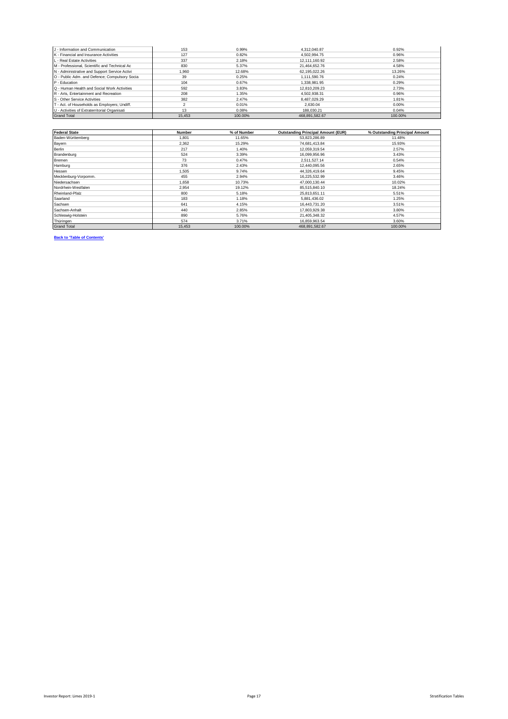| J - Information and Communication             | 153    | 0.99%   | 4.312.040.87   | 0.92%   |
|-----------------------------------------------|--------|---------|----------------|---------|
| K - Financial and Insurance Activities        | 127    | 0.82%   | 4.502.994.75   | 0.96%   |
| L - Real Estate Activities                    | 337    | 2.18%   | 12.111.160.92  | 2.58%   |
| M - Professional, Scientific and Technical Ac | 830    | 5.37%   | 21.464.652.76  | 4.58%   |
| N - Administrative and Support Service Activi | 1.960  | 12.68%  | 62.195.022.26  | 13.26%  |
| O - Public Adm. and Defence; Compulsory Socia | 39     | 0.25%   | 1.111.590.76   | 0.24%   |
| P - Education                                 | 104    | 0.67%   | 1.338.981.95   | 0.29%   |
| Q - Human Health and Social Work Activities   | 592    | 3.83%   | 12.810.209.23  | 2.73%   |
| R - Arts. Entertainment and Recreation        | 208    | 1.35%   | 4.502.938.31   | 0.96%   |
| S - Other Service Activities                  | 382    | 2.47%   | 8.487.029.29   | 1.81%   |
| T - Act. of Households as Employers; Undiff.  |        | 0.01%   | 2.630.04       | 0.00%   |
| U - Activities of Extraterritorial Organisati | 13     | 0.08%   | 188.030.21     | 0.04%   |
| <b>Grand Total</b>                            | 15.453 | 100.00% | 468.891.582.67 | 100.00% |

| <b>Federal State</b> | Number | % of Number | <b>Outstanding Principal Amount (EUR)</b> | % Outstanding Principal Amount |
|----------------------|--------|-------------|-------------------------------------------|--------------------------------|
| Baden-Württemberg    | 1,801  | 11.65%      | 53,823,286.89                             | 11.48%                         |
| Bayern               | 2.362  | 15.29%      | 74,681,413.84                             | 15.93%                         |
| Berlin               | 217    | 1.40%       | 12,059,319.54                             | 2.57%                          |
| Brandenburg          | 524    | 3.39%       | 16,099,956,96                             | 3.43%                          |
| Bremen               | 73     | 0.47%       | 2.511.527.14                              | 0.54%                          |
| Hamburg              | 376    | 2.43%       | 12.440.095.56                             | 2.65%                          |
| Hessen               | 1.505  | 9.74%       | 44.326.419.64                             | 9.45%                          |
| Mecklenburg-Vorpomm. | 455    | 2.94%       | 16.225.532.99                             | 3.46%                          |
| Niedersachsen        | 1,658  | 10.73%      | 47,000,130.44                             | 10.02%                         |
| Nordrhein-Westfalen  | 2,954  | 19.12%      | 85,515,840.10                             | 18.24%                         |
| Rheinland-Pfalz      | 800    | 5.18%       | 25,813,651.11                             | 5.51%                          |
| Saarland             | 183    | 1.18%       | 5,881,436.02                              | 1.25%                          |
| Sachsen              | 641    | 4.15%       | 16,443,731.20                             | 3.51%                          |
| Sachsen-Anhalt       | 440    | 2.85%       | 17,803,929.38                             | 3.80%                          |
| Schleswig-Holstein   | 890    | 5.76%       | 21,405,348.32                             | 4.57%                          |
| Thüringen            | 574    | 3.71%       | 16,859,963.54                             | 3.60%                          |
| <b>Grand Total</b>   | 15,453 | 100.00%     | 468,891,582.67                            | 100.00%                        |